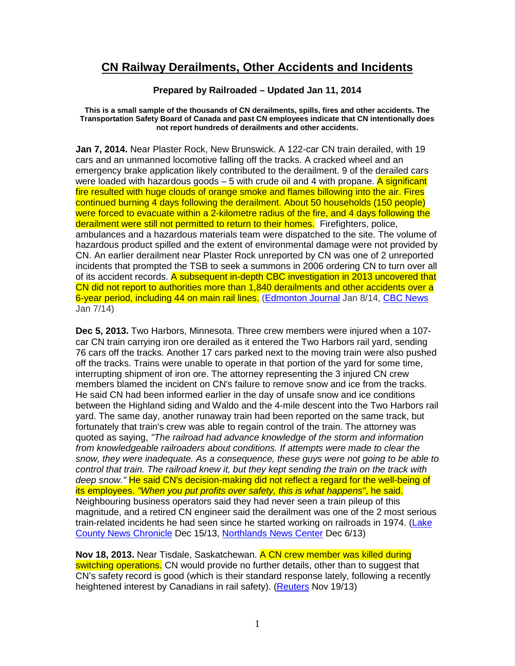## **CN Railway Derailments, Other Accidents and Incidents**

## **Prepared by Railroaded – Updated Jan 11, 2014**

**This is a small sample of the thousands of CN derailments, spills, fires and other accidents. The Transportation Safety Board of Canada and past CN employees indicate that CN intentionally does not report hundreds of derailments and other accidents.** 

**Jan 7, 2014.** Near Plaster Rock, New Brunswick. A 122-car CN train derailed, with 19 cars and an unmanned locomotive falling off the tracks. A cracked wheel and an emergency brake application likely contributed to the derailment. 9 of the derailed cars were loaded with hazardous goods  $-5$  with crude oil and 4 with propane. A significant fire resulted with huge clouds of orange smoke and flames billowing into the air. Fires continued burning 4 days following the derailment. About 50 households (150 people) were forced to evacuate within a 2-kilometre radius of the fire, and 4 days following the derailment were still not permitted to return to their homes. Firefighters, police, ambulances and a hazardous materials team were dispatched to the site. The volume of hazardous product spilled and the extent of environmental damage were not provided by CN. An earlier derailment near Plaster Rock unreported by CN was one of 2 unreported incidents that prompted the TSB to seek a summons in 2006 ordering CN to turn over all of its accident records. A subsequent in-depth CBC investigation in 2013 uncovered that CN did not report to authorities more than 1,840 derailments and other accidents over a 6-year period, including 44 on main rail lines. (Edmonton Journal Jan 8/14, CBC News Jan 7/14)

**Dec 5, 2013.** Two Harbors, Minnesota. Three crew members were injured when a 107 car CN train carrying iron ore derailed as it entered the Two Harbors rail yard, sending 76 cars off the tracks. Another 17 cars parked next to the moving train were also pushed off the tracks. Trains were unable to operate in that portion of the yard for some time, interrupting shipment of iron ore. The attorney representing the 3 injured CN crew members blamed the incident on CN's failure to remove snow and ice from the tracks. He said CN had been informed earlier in the day of unsafe snow and ice conditions between the Highland siding and Waldo and the 4-mile descent into the Two Harbors rail yard. The same day, another runaway train had been reported on the same track, but fortunately that train's crew was able to regain control of the train. The attorney was quoted as saying, "The railroad had advance knowledge of the storm and information from knowledgeable railroaders about conditions. If attempts were made to clear the snow, they were inadequate. As a consequence, these guys were not going to be able to control that train. The railroad knew it, but they kept sending the train on the track with deep snow." He said CN's decision-making did not reflect a regard for the well-being of its employees. "When you put profits over safety, this is what happens", he said. Neighbouring business operators said they had never seen a train pileup of this magnitude, and a retired CN engineer said the derailment was one of the 2 most serious train-related incidents he had seen since he started working on railroads in 1974. (Lake County News Chronicle Dec 15/13, Northlands News Center Dec 6/13)

**Nov 18, 2013.** Near Tisdale, Saskatchewan. A CN crew member was killed during switching operations. CN would provide no further details, other than to suggest that CN's safety record is good (which is their standard response lately, following a recently heightened interest by Canadians in rail safety). (Reuters Nov 19/13)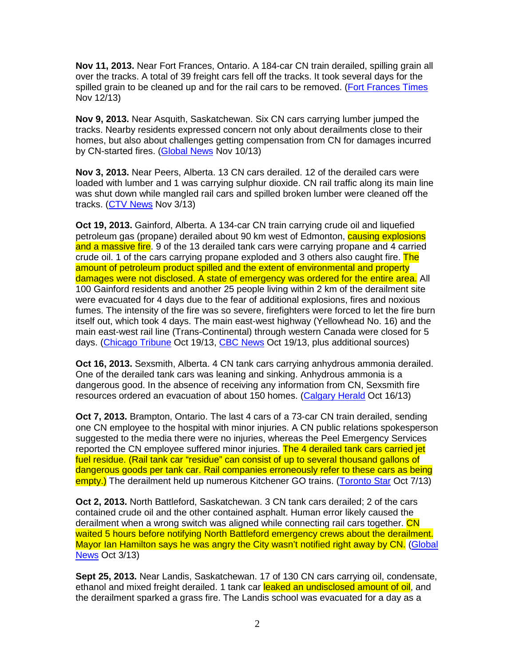**Nov 11, 2013.** Near Fort Frances, Ontario. A 184-car CN train derailed, spilling grain all over the tracks. A total of 39 freight cars fell off the tracks. It took several days for the spilled grain to be cleaned up and for the rail cars to be removed. (Fort Frances Times Nov 12/13)

**Nov 9, 2013.** Near Asquith, Saskatchewan. Six CN cars carrying lumber jumped the tracks. Nearby residents expressed concern not only about derailments close to their homes, but also about challenges getting compensation from CN for damages incurred by CN-started fires. (Global News Nov 10/13)

**Nov 3, 2013.** Near Peers, Alberta. 13 CN cars derailed. 12 of the derailed cars were loaded with lumber and 1 was carrying sulphur dioxide. CN rail traffic along its main line was shut down while mangled rail cars and spilled broken lumber were cleaned off the tracks. (CTV News Nov 3/13)

**Oct 19, 2013.** Gainford, Alberta. A 134-car CN train carrying crude oil and liquefied petroleum gas (propane) derailed about 90 km west of Edmonton, **causing explosions** and a massive fire. 9 of the 13 derailed tank cars were carrying propane and 4 carried crude oil. 1 of the cars carrying propane exploded and 3 others also caught fire. The amount of petroleum product spilled and the extent of environmental and property damages were not disclosed. A state of emergency was ordered for the entire area. All 100 Gainford residents and another 25 people living within 2 km of the derailment site were evacuated for 4 days due to the fear of additional explosions, fires and noxious fumes. The intensity of the fire was so severe, firefighters were forced to let the fire burn itself out, which took 4 days. The main east-west highway (Yellowhead No. 16) and the main east-west rail line (Trans-Continental) through western Canada were closed for 5 days. (Chicago Tribune Oct 19/13, CBC News Oct 19/13, plus additional sources)

**Oct 16, 2013.** Sexsmith, Alberta. 4 CN tank cars carrying anhydrous ammonia derailed. One of the derailed tank cars was leaning and sinking. Anhydrous ammonia is a dangerous good. In the absence of receiving any information from CN, Sexsmith fire resources ordered an evacuation of about 150 homes. (Calgary Herald Oct 16/13)

**Oct 7, 2013.** Brampton, Ontario. The last 4 cars of a 73-car CN train derailed, sending one CN employee to the hospital with minor injuries. A CN public relations spokesperson suggested to the media there were no injuries, whereas the Peel Emergency Services reported the CN employee suffered minor injuries. The 4 derailed tank cars carried jet fuel residue. (Rail tank car "residue" can consist of up to several thousand gallons of dangerous goods per tank car. Rail companies erroneously refer to these cars as being empty.) The derailment held up numerous Kitchener GO trains. (Toronto Star Oct 7/13)

**Oct 2, 2013.** North Battleford, Saskatchewan. 3 CN tank cars derailed; 2 of the cars contained crude oil and the other contained asphalt. Human error likely caused the derailment when a wrong switch was aligned while connecting rail cars together. CN waited 5 hours before notifying North Battleford emergency crews about the derailment. Mayor Ian Hamilton says he was angry the City wasn't notified right away by CN. (Global News Oct 3/13)

**Sept 25, 2013.** Near Landis, Saskatchewan. 17 of 130 CN cars carrying oil, condensate, ethanol and mixed freight derailed. 1 tank car leaked an undisclosed amount of oil, and the derailment sparked a grass fire. The Landis school was evacuated for a day as a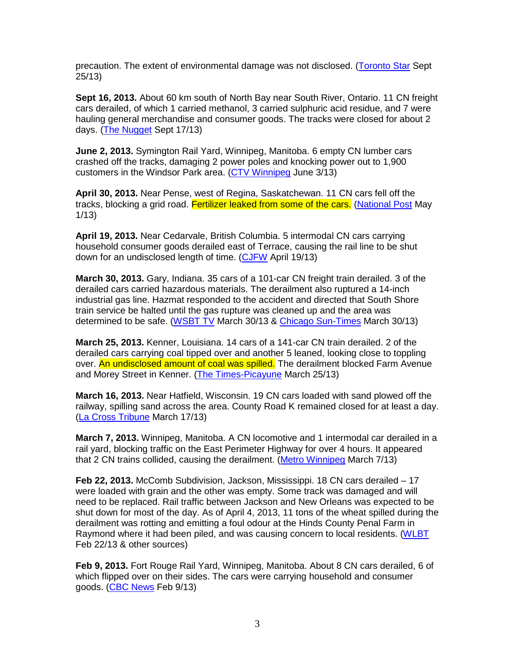precaution. The extent of environmental damage was not disclosed. (Toronto Star Sept 25/13)

**Sept 16, 2013.** About 60 km south of North Bay near South River, Ontario. 11 CN freight cars derailed, of which 1 carried methanol, 3 carried sulphuric acid residue, and 7 were hauling general merchandise and consumer goods. The tracks were closed for about 2 days. (The Nugget Sept 17/13)

**June 2, 2013.** Symington Rail Yard, Winnipeg, Manitoba. 6 empty CN lumber cars crashed off the tracks, damaging 2 power poles and knocking power out to 1,900 customers in the Windsor Park area. (CTV Winnipeg June 3/13)

**April 30, 2013.** Near Pense, west of Regina, Saskatchewan. 11 CN cars fell off the tracks, blocking a grid road. Fertilizer leaked from some of the cars. (National Post May 1/13)

**April 19, 2013.** Near Cedarvale, British Columbia. 5 intermodal CN cars carrying household consumer goods derailed east of Terrace, causing the rail line to be shut down for an undisclosed length of time. (CJFW April 19/13)

**March 30, 2013.** Gary, Indiana. 35 cars of a 101-car CN freight train derailed. 3 of the derailed cars carried hazardous materials. The derailment also ruptured a 14-inch industrial gas line. Hazmat responded to the accident and directed that South Shore train service be halted until the gas rupture was cleaned up and the area was determined to be safe. (WSBT TV March 30/13 & Chicago Sun-Times March 30/13)

**March 25, 2013.** Kenner, Louisiana. 14 cars of a 141-car CN train derailed. 2 of the derailed cars carrying coal tipped over and another 5 leaned, looking close to toppling over. An undisclosed amount of coal was spilled. The derailment blocked Farm Avenue and Morey Street in Kenner. (The Times-Picayune March 25/13)

**March 16, 2013.** Near Hatfield, Wisconsin. 19 CN cars loaded with sand plowed off the railway, spilling sand across the area. County Road K remained closed for at least a day. (La Cross Tribune March 17/13)

**March 7, 2013.** Winnipeg, Manitoba. A CN locomotive and 1 intermodal car derailed in a rail yard, blocking traffic on the East Perimeter Highway for over 4 hours. It appeared that 2 CN trains collided, causing the derailment. (Metro Winnipeg March 7/13)

Feb 22, 2013. McComb Subdivision, Jackson, Mississippi. 18 CN cars derailed - 17 were loaded with grain and the other was empty. Some track was damaged and will need to be replaced. Rail traffic between Jackson and New Orleans was expected to be shut down for most of the day. As of April 4, 2013, 11 tons of the wheat spilled during the derailment was rotting and emitting a foul odour at the Hinds County Penal Farm in Raymond where it had been piled, and was causing concern to local residents. (WLBT Feb 22/13 & other sources)

**Feb 9, 2013.** Fort Rouge Rail Yard, Winnipeg, Manitoba. About 8 CN cars derailed, 6 of which flipped over on their sides. The cars were carrying household and consumer goods. (CBC News Feb 9/13)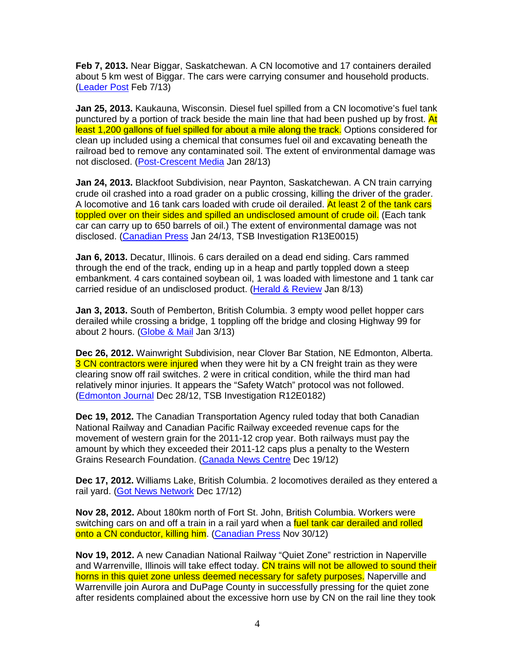**Feb 7, 2013.** Near Biggar, Saskatchewan. A CN locomotive and 17 containers derailed about 5 km west of Biggar. The cars were carrying consumer and household products. (Leader Post Feb 7/13)

**Jan 25, 2013.** Kaukauna, Wisconsin. Diesel fuel spilled from a CN locomotive's fuel tank punctured by a portion of track beside the main line that had been pushed up by frost. At least 1,200 gallons of fuel spilled for about a mile along the track. Options considered for clean up included using a chemical that consumes fuel oil and excavating beneath the railroad bed to remove any contaminated soil. The extent of environmental damage was not disclosed. (Post-Crescent Media Jan 28/13)

**Jan 24, 2013.** Blackfoot Subdivision, near Paynton, Saskatchewan. A CN train carrying crude oil crashed into a road grader on a public crossing, killing the driver of the grader. A locomotive and 16 tank cars loaded with crude oil derailed. At least 2 of the tank cars toppled over on their sides and spilled an undisclosed amount of crude oil. (Each tank car can carry up to 650 barrels of oil.) The extent of environmental damage was not disclosed. (Canadian Press Jan 24/13, TSB Investigation R13E0015)

**Jan 6, 2013.** Decatur, Illinois. 6 cars derailed on a dead end siding. Cars rammed through the end of the track, ending up in a heap and partly toppled down a steep embankment. 4 cars contained soybean oil, 1 was loaded with limestone and 1 tank car carried residue of an undisclosed product. (Herald & Review Jan 8/13)

**Jan 3, 2013.** South of Pemberton, British Columbia. 3 empty wood pellet hopper cars derailed while crossing a bridge, 1 toppling off the bridge and closing Highway 99 for about 2 hours. (Globe & Mail Jan 3/13)

**Dec 26, 2012.** Wainwright Subdivision, near Clover Bar Station, NE Edmonton, Alberta. 3 CN contractors were injured when they were hit by a CN freight train as they were clearing snow off rail switches. 2 were in critical condition, while the third man had relatively minor injuries. It appears the "Safety Watch" protocol was not followed. (Edmonton Journal Dec 28/12, TSB Investigation R12E0182)

**Dec 19, 2012.** The Canadian Transportation Agency ruled today that both Canadian National Railway and Canadian Pacific Railway exceeded revenue caps for the movement of western grain for the 2011-12 crop year. Both railways must pay the amount by which they exceeded their 2011-12 caps plus a penalty to the Western Grains Research Foundation. (Canada News Centre Dec 19/12)

**Dec 17, 2012.** Williams Lake, British Columbia. 2 locomotives derailed as they entered a rail yard. (Got News Network Dec 17/12)

**Nov 28, 2012.** About 180km north of Fort St. John, British Columbia. Workers were switching cars on and off a train in a rail yard when a fuel tank car derailed and rolled onto a CN conductor, killing him. (Canadian Press Nov 30/12)

**Nov 19, 2012.** A new Canadian National Railway "Quiet Zone" restriction in Naperville and Warrenville, Illinois will take effect today. CN trains will not be allowed to sound their horns in this quiet zone unless deemed necessary for safety purposes. Naperville and Warrenville join Aurora and DuPage County in successfully pressing for the quiet zone after residents complained about the excessive horn use by CN on the rail line they took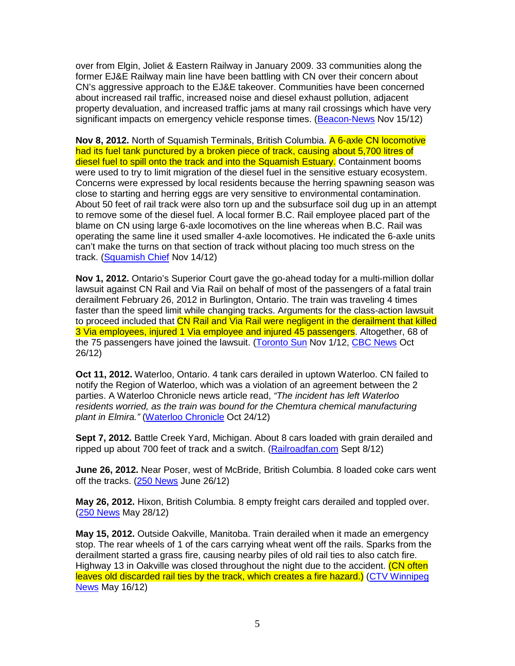over from Elgin, Joliet & Eastern Railway in January 2009. 33 communities along the former EJ&E Railway main line have been battling with CN over their concern about CN's aggressive approach to the EJ&E takeover. Communities have been concerned about increased rail traffic, increased noise and diesel exhaust pollution, adjacent property devaluation, and increased traffic jams at many rail crossings which have very significant impacts on emergency vehicle response times. (Beacon-News Nov 15/12)

**Nov 8, 2012.** North of Squamish Terminals, British Columbia. A 6-axle CN locomotive had its fuel tank punctured by a broken piece of track, causing about 5,700 litres of diesel fuel to spill onto the track and into the Squamish Estuary. Containment booms were used to try to limit migration of the diesel fuel in the sensitive estuary ecosystem. Concerns were expressed by local residents because the herring spawning season was close to starting and herring eggs are very sensitive to environmental contamination. About 50 feet of rail track were also torn up and the subsurface soil dug up in an attempt to remove some of the diesel fuel. A local former B.C. Rail employee placed part of the blame on CN using large 6-axle locomotives on the line whereas when B.C. Rail was operating the same line it used smaller 4-axle locomotives. He indicated the 6-axle units can't make the turns on that section of track without placing too much stress on the track. (Squamish Chief Nov 14/12)

**Nov 1, 2012.** Ontario's Superior Court gave the go-ahead today for a multi-million dollar lawsuit against CN Rail and Via Rail on behalf of most of the passengers of a fatal train derailment February 26, 2012 in Burlington, Ontario. The train was traveling 4 times faster than the speed limit while changing tracks. Arguments for the class-action lawsuit to proceed included that CN Rail and Via Rail were negligent in the derailment that killed 3 Via employees, injured 1 Via employee and injured 45 passengers. Altogether, 68 of the 75 passengers have joined the lawsuit. (Toronto Sun Nov 1/12, CBC News Oct 26/12)

**Oct 11, 2012.** Waterloo, Ontario. 4 tank cars derailed in uptown Waterloo. CN failed to notify the Region of Waterloo, which was a violation of an agreement between the 2 parties. A Waterloo Chronicle news article read, "The incident has left Waterloo residents worried, as the train was bound for the Chemtura chemical manufacturing plant in Elmira." (Waterloo Chronicle Oct 24/12)

**Sept 7, 2012.** Battle Creek Yard, Michigan. About 8 cars loaded with grain derailed and ripped up about 700 feet of track and a switch. (Railroadfan.com Sept 8/12)

**June 26, 2012.** Near Poser, west of McBride, British Columbia. 8 loaded coke cars went off the tracks. (250 News June 26/12)

**May 26, 2012.** Hixon, British Columbia. 8 empty freight cars derailed and toppled over. (250 News May 28/12)

**May 15, 2012.** Outside Oakville, Manitoba. Train derailed when it made an emergency stop. The rear wheels of 1 of the cars carrying wheat went off the rails. Sparks from the derailment started a grass fire, causing nearby piles of old rail ties to also catch fire. Highway 13 in Oakville was closed throughout the night due to the accident. (CN often leaves old discarded rail ties by the track, which creates a fire hazard.) (CTV Winnipeg News May 16/12)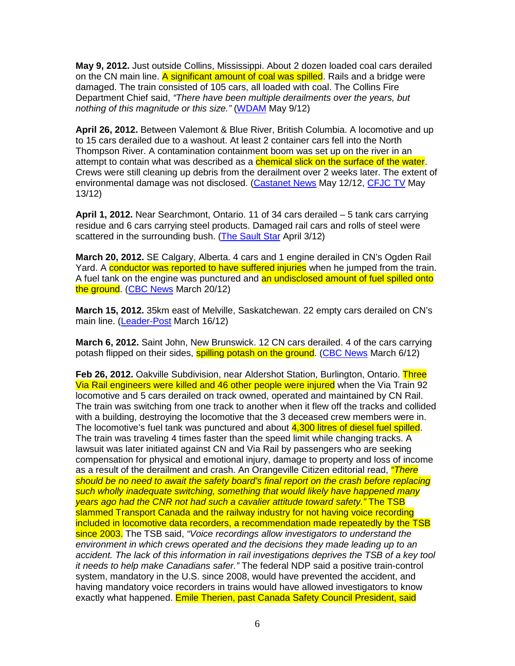**May 9, 2012.** Just outside Collins, Mississippi. About 2 dozen loaded coal cars derailed on the CN main line. A significant amount of coal was spilled. Rails and a bridge were damaged. The train consisted of 105 cars, all loaded with coal. The Collins Fire Department Chief said, "There have been multiple derailments over the years, but nothing of this magnitude or this size." (WDAM May 9/12)

**April 26, 2012.** Between Valemont & Blue River, British Columbia. A locomotive and up to 15 cars derailed due to a washout. At least 2 container cars fell into the North Thompson River. A contamination containment boom was set up on the river in an attempt to contain what was described as a **chemical slick on the surface of the water**. Crews were still cleaning up debris from the derailment over 2 weeks later. The extent of environmental damage was not disclosed. (Castanet News May 12/12, CFJC TV May 13/12)

**April 1, 2012.** Near Searchmont, Ontario. 11 of 34 cars derailed – 5 tank cars carrying residue and 6 cars carrying steel products. Damaged rail cars and rolls of steel were scattered in the surrounding bush. (The Sault Star April 3/12)

**March 20, 2012.** SE Calgary, Alberta. 4 cars and 1 engine derailed in CN's Ogden Rail Yard. A conductor was reported to have suffered injuries when he jumped from the train. A fuel tank on the engine was punctured and an undisclosed amount of fuel spilled onto the ground. (CBC News March 20/12)

**March 15, 2012.** 35km east of Melville, Saskatchewan. 22 empty cars derailed on CN's main line. (Leader-Post March 16/12)

**March 6, 2012.** Saint John, New Brunswick. 12 CN cars derailed. 4 of the cars carrying potash flipped on their sides, **spilling potash on the ground.** (CBC News March 6/12)

**Feb 26, 2012.** Oakville Subdivision, near Aldershot Station, Burlington, Ontario. Three Via Rail engineers were killed and 46 other people were injured when the Via Train 92 locomotive and 5 cars derailed on track owned, operated and maintained by CN Rail. The train was switching from one track to another when it flew off the tracks and collided with a building, destroying the locomotive that the 3 deceased crew members were in. The locomotive's fuel tank was punctured and about 4,300 litres of diesel fuel spilled. The train was traveling 4 times faster than the speed limit while changing tracks. A lawsuit was later initiated against CN and Via Rail by passengers who are seeking compensation for physical and emotional injury, damage to property and loss of income as a result of the derailment and crash. An Orangeville Citizen editorial read, *"There* should be no need to await the safety board's final report on the crash before replacing such wholly inadequate switching, something that would likely have happened many years ago had the CNR not had such a cavalier attitude toward safety." The TSB slammed Transport Canada and the railway industry for not having voice recording included in locomotive data recorders, a recommendation made repeatedly by the TSB since 2003. The TSB said, "Voice recordings allow investigators to understand the environment in which crews operated and the decisions they made leading up to an accident. The lack of this information in rail investigations deprives the TSB of a key tool it needs to help make Canadians safer." The federal NDP said a positive train-control system, mandatory in the U.S. since 2008, would have prevented the accident, and having mandatory voice recorders in trains would have allowed investigators to know exactly what happened. Emile Therien, past Canada Safety Council President, said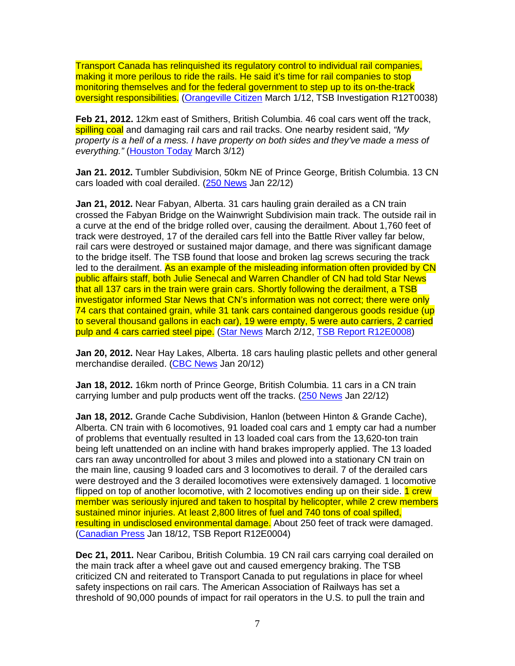Transport Canada has relinquished its regulatory control to individual rail companies, making it more perilous to ride the rails. He said it's time for rail companies to stop monitoring themselves and for the federal government to step up to its on-the-track oversight responsibilities. (Orangeville Citizen March 1/12, TSB Investigation R12T0038)

**Feb 21, 2012.** 12km east of Smithers, British Columbia. 46 coal cars went off the track, spilling coal and damaging rail cars and rail tracks. One nearby resident said, "My property is a hell of a mess. I have property on both sides and they've made a mess of everything." (Houston Today March 3/12)

**Jan 21. 2012.** Tumbler Subdivision, 50km NE of Prince George, British Columbia. 13 CN cars loaded with coal derailed. (250 News Jan 22/12)

**Jan 21, 2012.** Near Fabyan, Alberta. 31 cars hauling grain derailed as a CN train crossed the Fabyan Bridge on the Wainwright Subdivision main track. The outside rail in a curve at the end of the bridge rolled over, causing the derailment. About 1,760 feet of track were destroyed, 17 of the derailed cars fell into the Battle River valley far below, rail cars were destroyed or sustained major damage, and there was significant damage to the bridge itself. The TSB found that loose and broken lag screws securing the track led to the derailment. As an example of the misleading information often provided by CN public affairs staff, both Julie Senecal and Warren Chandler of CN had told Star News that all 137 cars in the train were grain cars. Shortly following the derailment, a TSB investigator informed Star News that CN's information was not correct; there were only 74 cars that contained grain, while 31 tank cars contained dangerous goods residue (up to several thousand gallons in each car), 19 were empty, 5 were auto carriers, 2 carried pulp and 4 cars carried steel pipe. (Star News March 2/12, TSB Report R12E0008)

**Jan 20, 2012.** Near Hay Lakes, Alberta. 18 cars hauling plastic pellets and other general merchandise derailed. (CBC News Jan 20/12)

**Jan 18, 2012.** 16km north of Prince George, British Columbia. 11 cars in a CN train carrying lumber and pulp products went off the tracks. (250 News Jan 22/12)

**Jan 18, 2012.** Grande Cache Subdivision, Hanlon (between Hinton & Grande Cache), Alberta. CN train with 6 locomotives, 91 loaded coal cars and 1 empty car had a number of problems that eventually resulted in 13 loaded coal cars from the 13,620-ton train being left unattended on an incline with hand brakes improperly applied. The 13 loaded cars ran away uncontrolled for about 3 miles and plowed into a stationary CN train on the main line, causing 9 loaded cars and 3 locomotives to derail. 7 of the derailed cars were destroyed and the 3 derailed locomotives were extensively damaged. 1 locomotive flipped on top of another locomotive, with 2 locomotives ending up on their side. 1 crew member was seriously injured and taken to hospital by helicopter, while 2 crew members sustained minor injuries. At least 2,800 litres of fuel and 740 tons of coal spilled, resulting in undisclosed environmental damage. About 250 feet of track were damaged. (Canadian Press Jan 18/12, TSB Report R12E0004)

**Dec 21, 2011.** Near Caribou, British Columbia. 19 CN rail cars carrying coal derailed on the main track after a wheel gave out and caused emergency braking. The TSB criticized CN and reiterated to Transport Canada to put regulations in place for wheel safety inspections on rail cars. The American Association of Railways has set a threshold of 90,000 pounds of impact for rail operators in the U.S. to pull the train and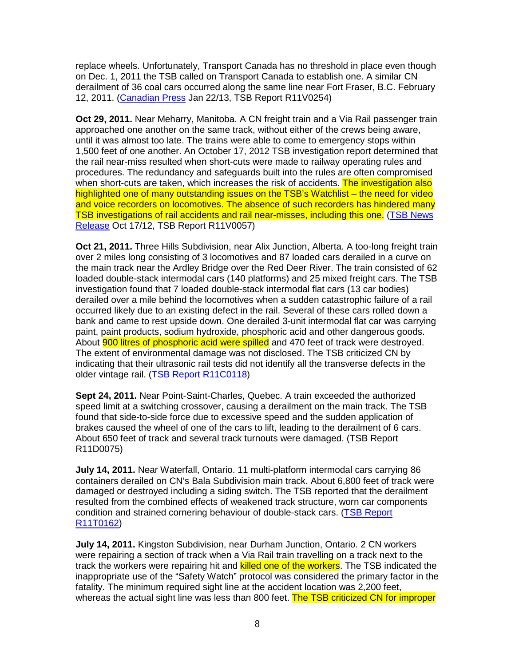replace wheels. Unfortunately, Transport Canada has no threshold in place even though on Dec. 1, 2011 the TSB called on Transport Canada to establish one. A similar CN derailment of 36 coal cars occurred along the same line near Fort Fraser, B.C. February 12, 2011. (Canadian Press Jan 22/13, TSB Report R11V0254)

**Oct 29, 2011.** Near Meharry, Manitoba. A CN freight train and a Via Rail passenger train approached one another on the same track, without either of the crews being aware, until it was almost too late. The trains were able to come to emergency stops within 1,500 feet of one another. An October 17, 2012 TSB investigation report determined that the rail near-miss resulted when short-cuts were made to railway operating rules and procedures. The redundancy and safeguards built into the rules are often compromised when short-cuts are taken, which increases the risk of accidents. The investigation also highlighted one of many outstanding issues on the TSB's Watchlist – the need for video and voice recorders on locomotives. The absence of such recorders has hindered many TSB investigations of rail accidents and rail near-misses, including this one. (TSB News Release Oct 17/12, TSB Report R11V0057)

**Oct 21, 2011.** Three Hills Subdivision, near Alix Junction, Alberta. A too-long freight train over 2 miles long consisting of 3 locomotives and 87 loaded cars derailed in a curve on the main track near the Ardley Bridge over the Red Deer River. The train consisted of 62 loaded double-stack intermodal cars (140 platforms) and 25 mixed freight cars. The TSB investigation found that 7 loaded double-stack intermodal flat cars (13 car bodies) derailed over a mile behind the locomotives when a sudden catastrophic failure of a rail occurred likely due to an existing defect in the rail. Several of these cars rolled down a bank and came to rest upside down. One derailed 3-unit intermodal flat car was carrying paint, paint products, sodium hydroxide, phosphoric acid and other dangerous goods. About **900 litres of phosphoric acid were spilled** and 470 feet of track were destroyed. The extent of environmental damage was not disclosed. The TSB criticized CN by indicating that their ultrasonic rail tests did not identify all the transverse defects in the older vintage rail. (TSB Report R11C0118)

**Sept 24, 2011.** Near Point-Saint-Charles, Quebec. A train exceeded the authorized speed limit at a switching crossover, causing a derailment on the main track. The TSB found that side-to-side force due to excessive speed and the sudden application of brakes caused the wheel of one of the cars to lift, leading to the derailment of 6 cars. About 650 feet of track and several track turnouts were damaged. (TSB Report R11D0075)

**July 14, 2011.** Near Waterfall, Ontario. 11 multi-platform intermodal cars carrying 86 containers derailed on CN's Bala Subdivision main track. About 6,800 feet of track were damaged or destroyed including a siding switch. The TSB reported that the derailment resulted from the combined effects of weakened track structure, worn car components condition and strained cornering behaviour of double-stack cars. (TSB Report R11T0162)

**July 14, 2011.** Kingston Subdivision, near Durham Junction, Ontario. 2 CN workers were repairing a section of track when a Via Rail train travelling on a track next to the track the workers were repairing hit and killed one of the workers. The TSB indicated the inappropriate use of the "Safety Watch" protocol was considered the primary factor in the fatality. The minimum required sight line at the accident location was 2,200 feet, whereas the actual sight line was less than 800 feet. The TSB criticized CN for improper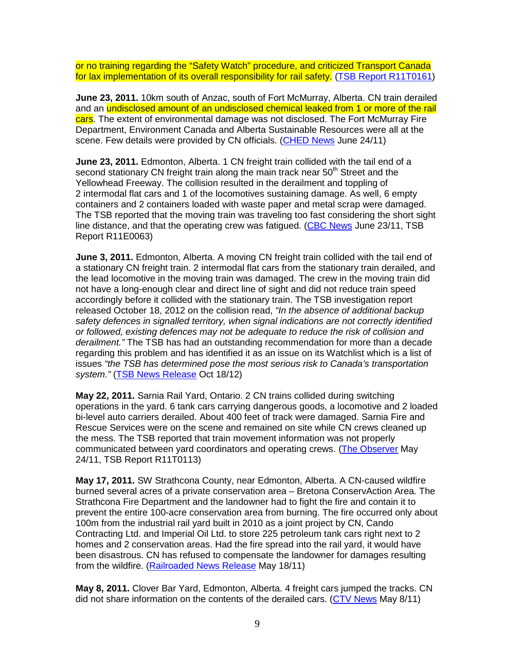or no training regarding the "Safety Watch" procedure, and criticized Transport Canada for lax implementation of its overall responsibility for rail safety. (TSB Report R11T0161)

**June 23, 2011.** 10km south of Anzac, south of Fort McMurray, Alberta. CN train derailed and an undisclosed amount of an undisclosed chemical leaked from 1 or more of the rail cars. The extent of environmental damage was not disclosed. The Fort McMurray Fire Department, Environment Canada and Alberta Sustainable Resources were all at the scene. Few details were provided by CN officials. (CHED News June 24/11)

**June 23, 2011.** Edmonton, Alberta. 1 CN freight train collided with the tail end of a second stationary CN freight train along the main track near  $50<sup>th</sup>$  Street and the Yellowhead Freeway. The collision resulted in the derailment and toppling of 2 intermodal flat cars and 1 of the locomotives sustaining damage. As well, 6 empty containers and 2 containers loaded with waste paper and metal scrap were damaged. The TSB reported that the moving train was traveling too fast considering the short sight line distance, and that the operating crew was fatigued. (CBC News June 23/11, TSB Report R11E0063)

**June 3, 2011.** Edmonton, Alberta. A moving CN freight train collided with the tail end of a stationary CN freight train. 2 intermodal flat cars from the stationary train derailed, and the lead locomotive in the moving train was damaged. The crew in the moving train did not have a long-enough clear and direct line of sight and did not reduce train speed accordingly before it collided with the stationary train. The TSB investigation report released October 18, 2012 on the collision read, "In the absence of additional backup safety defences in signalled territory, when signal indications are not correctly identified or followed, existing defences may not be adequate to reduce the risk of collision and derailment." The TSB has had an outstanding recommendation for more than a decade regarding this problem and has identified it as an issue on its Watchlist which is a list of issues "the TSB has determined pose the most serious risk to Canada's transportation system." (TSB News Release Oct 18/12)

**May 22, 2011.** Sarnia Rail Yard, Ontario. 2 CN trains collided during switching operations in the yard. 6 tank cars carrying dangerous goods, a locomotive and 2 loaded bi-level auto carriers derailed. About 400 feet of track were damaged. Sarnia Fire and Rescue Services were on the scene and remained on site while CN crews cleaned up the mess. The TSB reported that train movement information was not properly communicated between yard coordinators and operating crews. (The Observer May 24/11, TSB Report R11T0113)

**May 17, 2011.** SW Strathcona County, near Edmonton, Alberta. A CN-caused wildfire burned several acres of a private conservation area – Bretona ConservAction Area. The Strathcona Fire Department and the landowner had to fight the fire and contain it to prevent the entire 100-acre conservation area from burning. The fire occurred only about 100m from the industrial rail yard built in 2010 as a joint project by CN, Cando Contracting Ltd. and Imperial Oil Ltd. to store 225 petroleum tank cars right next to 2 homes and 2 conservation areas. Had the fire spread into the rail yard, it would have been disastrous. CN has refused to compensate the landowner for damages resulting from the wildfire. (Railroaded News Release May 18/11)

**May 8, 2011.** Clover Bar Yard, Edmonton, Alberta. 4 freight cars jumped the tracks. CN did not share information on the contents of the derailed cars. (CTV News May 8/11)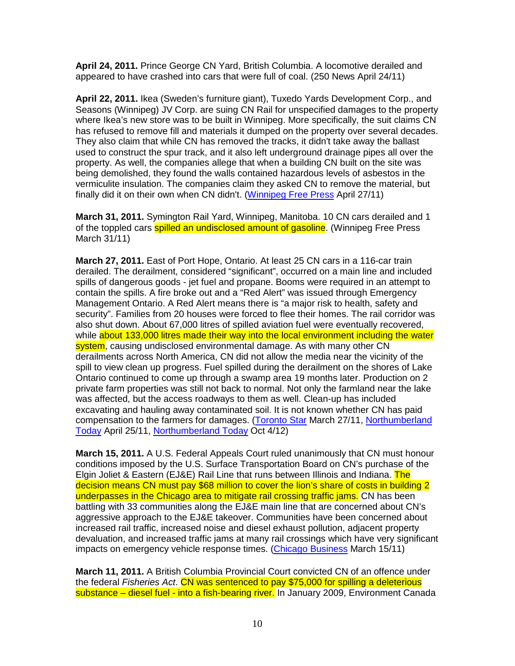**April 24, 2011.** Prince George CN Yard, British Columbia. A locomotive derailed and appeared to have crashed into cars that were full of coal. (250 News April 24/11)

**April 22, 2011.** Ikea (Sweden's furniture giant), Tuxedo Yards Development Corp., and Seasons (Winnipeg) JV Corp. are suing CN Rail for unspecified damages to the property where Ikea's new store was to be built in Winnipeg. More specifically, the suit claims CN has refused to remove fill and materials it dumped on the property over several decades. They also claim that while CN has removed the tracks, it didn't take away the ballast used to construct the spur track, and it also left underground drainage pipes all over the property. As well, the companies allege that when a building CN built on the site was being demolished, they found the walls contained hazardous levels of asbestos in the vermiculite insulation. The companies claim they asked CN to remove the material, but finally did it on their own when CN didn't. (Winnipeg Free Press April 27/11)

**March 31, 2011.** Symington Rail Yard, Winnipeg, Manitoba. 10 CN cars derailed and 1 of the toppled cars **spilled an undisclosed amount of gasoline**. (Winnipeg Free Press March 31/11)

**March 27, 2011.** East of Port Hope, Ontario. At least 25 CN cars in a 116-car train derailed. The derailment, considered "significant", occurred on a main line and included spills of dangerous goods - jet fuel and propane. Booms were required in an attempt to contain the spills. A fire broke out and a "Red Alert" was issued through Emergency Management Ontario. A Red Alert means there is "a major risk to health, safety and security". Families from 20 houses were forced to flee their homes. The rail corridor was also shut down. About 67,000 litres of spilled aviation fuel were eventually recovered, while about 133,000 litres made their way into the local environment including the water system, causing undisclosed environmental damage. As with many other CN derailments across North America, CN did not allow the media near the vicinity of the spill to view clean up progress. Fuel spilled during the derailment on the shores of Lake Ontario continued to come up through a swamp area 19 months later. Production on 2 private farm properties was still not back to normal. Not only the farmland near the lake was affected, but the access roadways to them as well. Clean-up has included excavating and hauling away contaminated soil. It is not known whether CN has paid compensation to the farmers for damages. (Toronto Star March 27/11, Northumberland Today April 25/11, Northumberland Today Oct 4/12)

**March 15, 2011.** A U.S. Federal Appeals Court ruled unanimously that CN must honour conditions imposed by the U.S. Surface Transportation Board on CN's purchase of the Elgin Joliet & Eastern (EJ&E) Rail Line that runs between Illinois and Indiana. The decision means CN must pay \$68 million to cover the lion's share of costs in building 2 underpasses in the Chicago area to mitigate rail crossing traffic jams. CN has been battling with 33 communities along the EJ&E main line that are concerned about CN's aggressive approach to the EJ&E takeover. Communities have been concerned about increased rail traffic, increased noise and diesel exhaust pollution, adjacent property devaluation, and increased traffic jams at many rail crossings which have very significant impacts on emergency vehicle response times. (Chicago Business March 15/11)

**March 11, 2011.** A British Columbia Provincial Court convicted CN of an offence under the federal Fisheries Act. CN was sentenced to pay \$75,000 for spilling a deleterious substance – diesel fuel - into a fish-bearing river. In January 2009, Environment Canada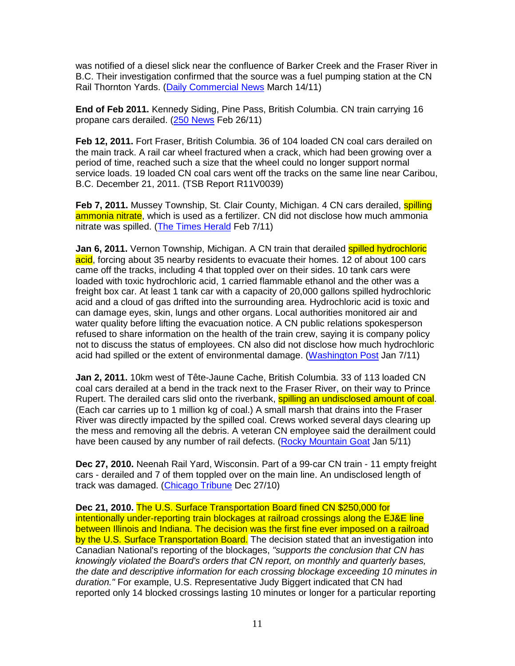was notified of a diesel slick near the confluence of Barker Creek and the Fraser River in B.C. Their investigation confirmed that the source was a fuel pumping station at the CN Rail Thornton Yards. (Daily Commercial News March 14/11)

**End of Feb 2011.** Kennedy Siding, Pine Pass, British Columbia. CN train carrying 16 propane cars derailed. (250 News Feb 26/11)

**Feb 12, 2011.** Fort Fraser, British Columbia. 36 of 104 loaded CN coal cars derailed on the main track. A rail car wheel fractured when a crack, which had been growing over a period of time, reached such a size that the wheel could no longer support normal service loads. 19 loaded CN coal cars went off the tracks on the same line near Caribou, B.C. December 21, 2011. (TSB Report R11V0039)

**Feb 7, 2011.** Mussey Township, St. Clair County, Michigan. 4 CN cars derailed, **spilling** ammonia nitrate, which is used as a fertilizer. CN did not disclose how much ammonia nitrate was spilled. (The Times Herald Feb 7/11)

Jan 6, 2011. Vernon Township, Michigan. A CN train that derailed **spilled hydrochloric** acid, forcing about 35 nearby residents to evacuate their homes. 12 of about 100 cars came off the tracks, including 4 that toppled over on their sides. 10 tank cars were loaded with toxic hydrochloric acid, 1 carried flammable ethanol and the other was a freight box car. At least 1 tank car with a capacity of 20,000 gallons spilled hydrochloric acid and a cloud of gas drifted into the surrounding area. Hydrochloric acid is toxic and can damage eyes, skin, lungs and other organs. Local authorities monitored air and water quality before lifting the evacuation notice. A CN public relations spokesperson refused to share information on the health of the train crew, saying it is company policy not to discuss the status of employees. CN also did not disclose how much hydrochloric acid had spilled or the extent of environmental damage. (Washington Post Jan 7/11)

**Jan 2, 2011.** 10km west of Tête-Jaune Cache, British Columbia. 33 of 113 loaded CN coal cars derailed at a bend in the track next to the Fraser River, on their way to Prince Rupert. The derailed cars slid onto the riverbank, **spilling an undisclosed amount of coal.** (Each car carries up to 1 million kg of coal.) A small marsh that drains into the Fraser River was directly impacted by the spilled coal. Crews worked several days clearing up the mess and removing all the debris. A veteran CN employee said the derailment could have been caused by any number of rail defects. (Rocky Mountain Goat Jan 5/11)

**Dec 27, 2010.** Neenah Rail Yard, Wisconsin. Part of a 99-car CN train - 11 empty freight cars - derailed and 7 of them toppled over on the main line. An undisclosed length of track was damaged. (Chicago Tribune Dec 27/10)

**Dec 21, 2010.** The U.S. Surface Transportation Board fined CN \$250,000 for intentionally under-reporting train blockages at railroad crossings along the EJ&E line between Illinois and Indiana. The decision was the first fine ever imposed on a railroad by the U.S. Surface Transportation Board. The decision stated that an investigation into Canadian National's reporting of the blockages, "supports the conclusion that CN has knowingly violated the Board's orders that CN report, on monthly and quarterly bases, the date and descriptive information for each crossing blockage exceeding 10 minutes in duration." For example, U.S. Representative Judy Biggert indicated that CN had reported only 14 blocked crossings lasting 10 minutes or longer for a particular reporting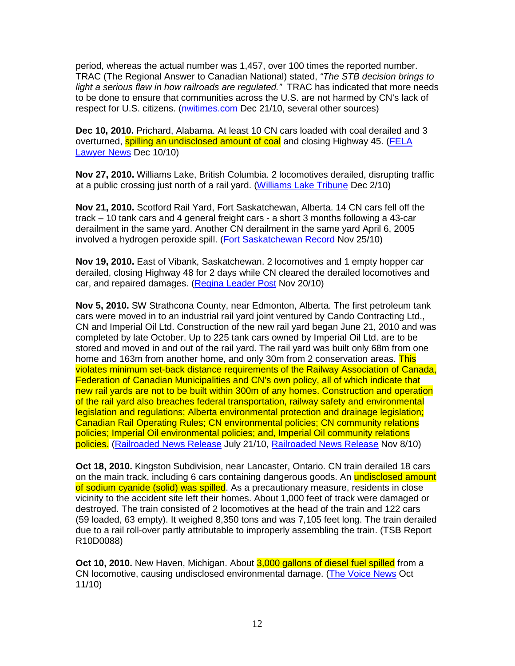period, whereas the actual number was 1,457, over 100 times the reported number. TRAC (The Regional Answer to Canadian National) stated, "The STB decision brings to light a serious flaw in how railroads are regulated." TRAC has indicated that more needs to be done to ensure that communities across the U.S. are not harmed by CN's lack of respect for U.S. citizens. (nwitimes.com Dec 21/10, several other sources)

**Dec 10, 2010.** Prichard, Alabama. At least 10 CN cars loaded with coal derailed and 3 overturned, **spilling an undisclosed amount of coal** and closing Highway 45. (FELA Lawyer News Dec 10/10)

**Nov 27, 2010.** Williams Lake, British Columbia. 2 locomotives derailed, disrupting traffic at a public crossing just north of a rail yard. (Williams Lake Tribune Dec 2/10)

**Nov 21, 2010.** Scotford Rail Yard, Fort Saskatchewan, Alberta. 14 CN cars fell off the track – 10 tank cars and 4 general freight cars - a short 3 months following a 43-car derailment in the same yard. Another CN derailment in the same yard April 6, 2005 involved a hydrogen peroxide spill. (Fort Saskatchewan Record Nov 25/10)

**Nov 19, 2010.** East of Vibank, Saskatchewan. 2 locomotives and 1 empty hopper car derailed, closing Highway 48 for 2 days while CN cleared the derailed locomotives and car, and repaired damages. (Regina Leader Post Nov 20/10)

**Nov 5, 2010.** SW Strathcona County, near Edmonton, Alberta. The first petroleum tank cars were moved in to an industrial rail yard joint ventured by Cando Contracting Ltd., CN and Imperial Oil Ltd. Construction of the new rail yard began June 21, 2010 and was completed by late October. Up to 225 tank cars owned by Imperial Oil Ltd. are to be stored and moved in and out of the rail yard. The rail yard was built only 68m from one home and 163m from another home, and only 30m from 2 conservation areas. This violates minimum set-back distance requirements of the Railway Association of Canada, Federation of Canadian Municipalities and CN's own policy, all of which indicate that new rail yards are not to be built within 300m of any homes. Construction and operation of the rail yard also breaches federal transportation, railway safety and environmental legislation and regulations; Alberta environmental protection and drainage legislation; Canadian Rail Operating Rules; CN environmental policies; CN community relations policies; Imperial Oil environmental policies; and, Imperial Oil community relations policies. (Railroaded News Release July 21/10, Railroaded News Release Nov 8/10)

**Oct 18, 2010.** Kingston Subdivision, near Lancaster, Ontario. CN train derailed 18 cars on the main track, including 6 cars containing dangerous goods. An **undisclosed amount** of sodium cyanide (solid) was spilled. As a precautionary measure, residents in close vicinity to the accident site left their homes. About 1,000 feet of track were damaged or destroyed. The train consisted of 2 locomotives at the head of the train and 122 cars (59 loaded, 63 empty). It weighed 8,350 tons and was 7,105 feet long. The train derailed due to a rail roll-over partly attributable to improperly assembling the train. (TSB Report R10D0088)

**Oct 10, 2010.** New Haven, Michigan. About 3,000 gallons of diesel fuel spilled from a CN locomotive, causing undisclosed environmental damage. (The Voice News Oct 11/10)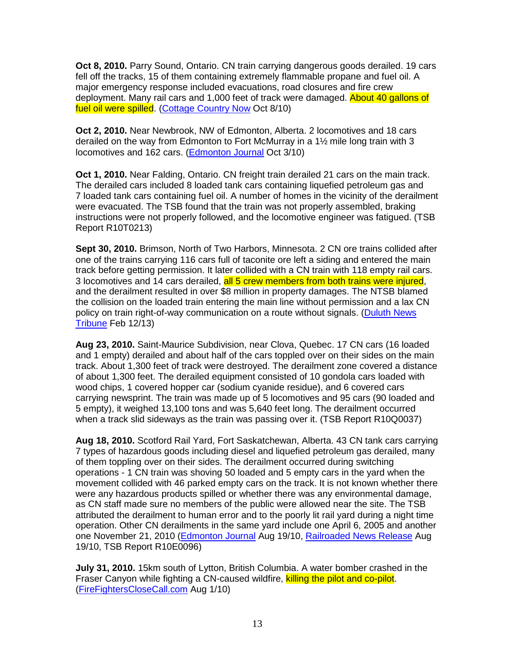**Oct 8, 2010.** Parry Sound, Ontario. CN train carrying dangerous goods derailed. 19 cars fell off the tracks, 15 of them containing extremely flammable propane and fuel oil. A major emergency response included evacuations, road closures and fire crew deployment. Many rail cars and 1,000 feet of track were damaged. About 40 gallons of fuel oil were spilled. (Cottage Country Now Oct 8/10)

**Oct 2, 2010.** Near Newbrook, NW of Edmonton, Alberta. 2 locomotives and 18 cars derailed on the way from Edmonton to Fort McMurray in a 1½ mile long train with 3 locomotives and 162 cars. (Edmonton Journal Oct 3/10)

**Oct 1, 2010.** Near Falding, Ontario. CN freight train derailed 21 cars on the main track. The derailed cars included 8 loaded tank cars containing liquefied petroleum gas and 7 loaded tank cars containing fuel oil. A number of homes in the vicinity of the derailment were evacuated. The TSB found that the train was not properly assembled, braking instructions were not properly followed, and the locomotive engineer was fatigued. (TSB Report R10T0213)

**Sept 30, 2010.** Brimson, North of Two Harbors, Minnesota. 2 CN ore trains collided after one of the trains carrying 116 cars full of taconite ore left a siding and entered the main track before getting permission. It later collided with a CN train with 118 empty rail cars. 3 locomotives and 14 cars derailed, all 5 crew members from both trains were injured, and the derailment resulted in over \$8 million in property damages. The NTSB blamed the collision on the loaded train entering the main line without permission and a lax CN policy on train right-of-way communication on a route without signals. (Duluth News Tribune Feb 12/13)

**Aug 23, 2010.** Saint-Maurice Subdivision, near Clova, Quebec. 17 CN cars (16 loaded and 1 empty) derailed and about half of the cars toppled over on their sides on the main track. About 1,300 feet of track were destroyed. The derailment zone covered a distance of about 1,300 feet. The derailed equipment consisted of 10 gondola cars loaded with wood chips, 1 covered hopper car (sodium cyanide residue), and 6 covered cars carrying newsprint. The train was made up of 5 locomotives and 95 cars (90 loaded and 5 empty), it weighed 13,100 tons and was 5,640 feet long. The derailment occurred when a track slid sideways as the train was passing over it. (TSB Report R10Q0037)

**Aug 18, 2010.** Scotford Rail Yard, Fort Saskatchewan, Alberta. 43 CN tank cars carrying 7 types of hazardous goods including diesel and liquefied petroleum gas derailed, many of them toppling over on their sides. The derailment occurred during switching operations - 1 CN train was shoving 50 loaded and 5 empty cars in the yard when the movement collided with 46 parked empty cars on the track. It is not known whether there were any hazardous products spilled or whether there was any environmental damage, as CN staff made sure no members of the public were allowed near the site. The TSB attributed the derailment to human error and to the poorly lit rail yard during a night time operation. Other CN derailments in the same yard include one April 6, 2005 and another one November 21, 2010 (Edmonton Journal Aug 19/10, Railroaded News Release Aug 19/10, TSB Report R10E0096)

**July 31, 2010.** 15km south of Lytton, British Columbia. A water bomber crashed in the Fraser Canyon while fighting a CN-caused wildfire, killing the pilot and co-pilot. (FireFightersCloseCall.com Aug 1/10)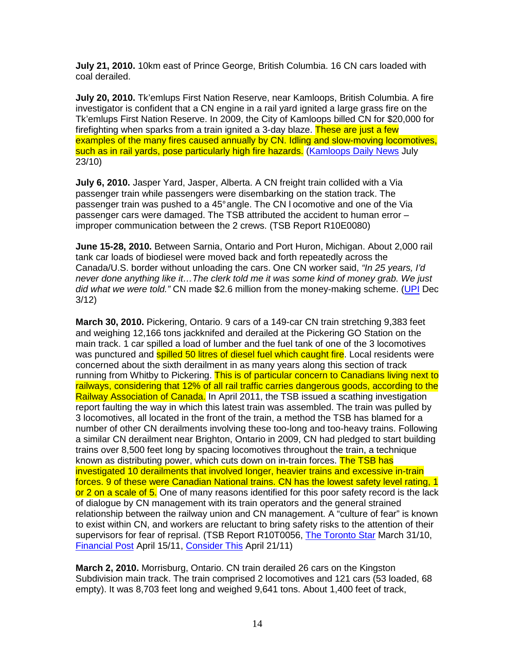**July 21, 2010.** 10km east of Prince George, British Columbia. 16 CN cars loaded with coal derailed.

**July 20, 2010.** Tk'emlups First Nation Reserve, near Kamloops, British Columbia. A fire investigator is confident that a CN engine in a rail yard ignited a large grass fire on the Tk'emlups First Nation Reserve. In 2009, the City of Kamloops billed CN for \$20,000 for firefighting when sparks from a train ignited a 3-day blaze. These are just a few examples of the many fires caused annually by CN. Idling and slow-moving locomotives, such as in rail yards, pose particularly high fire hazards. (Kamloops Daily News July 23/10)

**July 6, 2010.** Jasper Yard, Jasper, Alberta. A CN freight train collided with a Via passenger train while passengers were disembarking on the station track. The passenger train was pushed to a 45° angle. The CN l ocomotive and one of the Via passenger cars were damaged. The TSB attributed the accident to human error – improper communication between the 2 crews. (TSB Report R10E0080)

**June 15-28, 2010.** Between Sarnia, Ontario and Port Huron, Michigan. About 2,000 rail tank car loads of biodiesel were moved back and forth repeatedly across the Canada/U.S. border without unloading the cars. One CN worker said, "In 25 years, I'd never done anything like it…The clerk told me it was some kind of money grab. We just did what we were told." CN made \$2.6 million from the money-making scheme. (UPI Dec 3/12)

**March 30, 2010.** Pickering, Ontario. 9 cars of a 149-car CN train stretching 9,383 feet and weighing 12,166 tons jackknifed and derailed at the Pickering GO Station on the main track. 1 car spilled a load of lumber and the fuel tank of one of the 3 locomotives was punctured and **spilled 50 litres of diesel fuel which caught fire**. Local residents were concerned about the sixth derailment in as many years along this section of track running from Whitby to Pickering. This is of particular concern to Canadians living next to railways, considering that 12% of all rail traffic carries dangerous goods, according to the Railway Association of Canada. In April 2011, the TSB issued a scathing investigation report faulting the way in which this latest train was assembled. The train was pulled by 3 locomotives, all located in the front of the train, a method the TSB has blamed for a number of other CN derailments involving these too-long and too-heavy trains. Following a similar CN derailment near Brighton, Ontario in 2009, CN had pledged to start building trains over 8,500 feet long by spacing locomotives throughout the train, a technique known as distributing power, which cuts down on in-train forces. The TSB has investigated 10 derailments that involved longer, heavier trains and excessive in-train forces. 9 of these were Canadian National trains. CN has the lowest safety level rating, 1 or 2 on a scale of 5. One of many reasons identified for this poor safety record is the lack of dialogue by CN management with its train operators and the general strained relationship between the railway union and CN management. A "culture of fear" is known to exist within CN, and workers are reluctant to bring safety risks to the attention of their supervisors for fear of reprisal. (TSB Report R10T0056, The Toronto Star March 31/10, Financial Post April 15/11, Consider This April 21/11)

**March 2, 2010.** Morrisburg, Ontario. CN train derailed 26 cars on the Kingston Subdivision main track. The train comprised 2 locomotives and 121 cars (53 loaded, 68 empty). It was 8,703 feet long and weighed 9,641 tons. About 1,400 feet of track,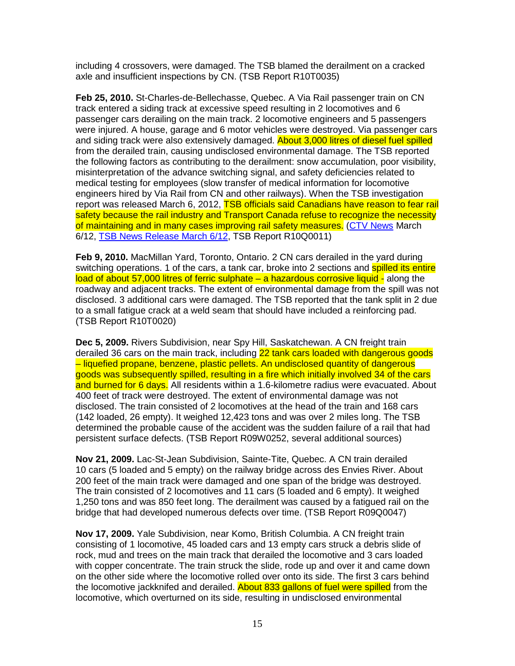including 4 crossovers, were damaged. The TSB blamed the derailment on a cracked axle and insufficient inspections by CN. (TSB Report R10T0035)

**Feb 25, 2010.** St-Charles-de-Bellechasse, Quebec. A Via Rail passenger train on CN track entered a siding track at excessive speed resulting in 2 locomotives and 6 passenger cars derailing on the main track. 2 locomotive engineers and 5 passengers were injured. A house, garage and 6 motor vehicles were destroyed. Via passenger cars and siding track were also extensively damaged. **About 3,000 litres of diesel fuel spilled** from the derailed train, causing undisclosed environmental damage. The TSB reported the following factors as contributing to the derailment: snow accumulation, poor visibility, misinterpretation of the advance switching signal, and safety deficiencies related to medical testing for employees (slow transfer of medical information for locomotive engineers hired by Via Rail from CN and other railways). When the TSB investigation report was released March 6, 2012, **TSB officials said Canadians have reason to fear rail** safety because the rail industry and Transport Canada refuse to recognize the necessity of maintaining and in many cases improving rail safety measures. (CTV News March 6/12, TSB News Release March 6/12, TSB Report R10Q0011)

**Feb 9, 2010.** MacMillan Yard, Toronto, Ontario. 2 CN cars derailed in the yard during switching operations. 1 of the cars, a tank car, broke into 2 sections and spilled its entire load of about 57,000 litres of ferric sulphate – a hazardous corrosive liquid - along the roadway and adjacent tracks. The extent of environmental damage from the spill was not disclosed. 3 additional cars were damaged. The TSB reported that the tank split in 2 due to a small fatigue crack at a weld seam that should have included a reinforcing pad. (TSB Report R10T0020)

**Dec 5, 2009.** Rivers Subdivision, near Spy Hill, Saskatchewan. A CN freight train derailed 36 cars on the main track, including 22 tank cars loaded with dangerous goods – liquefied propane, benzene, plastic pellets. An undisclosed quantity of dangerous goods was subsequently spilled, resulting in a fire which initially involved 34 of the cars and burned for 6 days. All residents within a 1.6-kilometre radius were evacuated. About 400 feet of track were destroyed. The extent of environmental damage was not disclosed. The train consisted of 2 locomotives at the head of the train and 168 cars (142 loaded, 26 empty). It weighed 12,423 tons and was over 2 miles long. The TSB determined the probable cause of the accident was the sudden failure of a rail that had persistent surface defects. (TSB Report R09W0252, several additional sources)

**Nov 21, 2009.** Lac-St-Jean Subdivision, Sainte-Tite, Quebec. A CN train derailed 10 cars (5 loaded and 5 empty) on the railway bridge across des Envies River. About 200 feet of the main track were damaged and one span of the bridge was destroyed. The train consisted of 2 locomotives and 11 cars (5 loaded and 6 empty). It weighed 1,250 tons and was 850 feet long. The derailment was caused by a fatigued rail on the bridge that had developed numerous defects over time. (TSB Report R09Q0047)

**Nov 17, 2009.** Yale Subdivision, near Komo, British Columbia. A CN freight train consisting of 1 locomotive, 45 loaded cars and 13 empty cars struck a debris slide of rock, mud and trees on the main track that derailed the locomotive and 3 cars loaded with copper concentrate. The train struck the slide, rode up and over it and came down on the other side where the locomotive rolled over onto its side. The first 3 cars behind the locomotive jackknifed and derailed. About 833 gallons of fuel were spilled from the locomotive, which overturned on its side, resulting in undisclosed environmental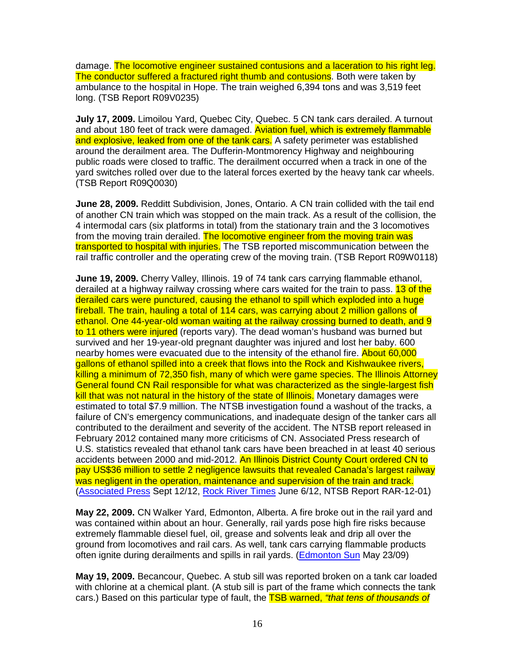damage. The locomotive engineer sustained contusions and a laceration to his right leg. The conductor suffered a fractured right thumb and contusions. Both were taken by ambulance to the hospital in Hope. The train weighed 6,394 tons and was 3,519 feet long. (TSB Report R09V0235)

**July 17, 2009.** Limoilou Yard, Quebec City, Quebec. 5 CN tank cars derailed. A turnout and about 180 feet of track were damaged. Aviation fuel, which is extremely flammable and explosive, leaked from one of the tank cars. A safety perimeter was established around the derailment area. The Dufferin-Montmorency Highway and neighbouring public roads were closed to traffic. The derailment occurred when a track in one of the yard switches rolled over due to the lateral forces exerted by the heavy tank car wheels. (TSB Report R09Q0030)

**June 28, 2009.** Redditt Subdivision, Jones, Ontario. A CN train collided with the tail end of another CN train which was stopped on the main track. As a result of the collision, the 4 intermodal cars (six platforms in total) from the stationary train and the 3 locomotives from the moving train derailed. The locomotive engineer from the moving train was transported to hospital with injuries. The TSB reported miscommunication between the rail traffic controller and the operating crew of the moving train. (TSB Report R09W0118)

**June 19, 2009.** Cherry Valley, Illinois. 19 of 74 tank cars carrying flammable ethanol, derailed at a highway railway crossing where cars waited for the train to pass. 13 of the derailed cars were punctured, causing the ethanol to spill which exploded into a huge fireball. The train, hauling a total of 114 cars, was carrying about 2 million gallons of ethanol. One 44-year-old woman waiting at the railway crossing burned to death, and 9 to 11 others were injured (reports vary). The dead woman's husband was burned but survived and her 19-year-old pregnant daughter was injured and lost her baby. 600 nearby homes were evacuated due to the intensity of the ethanol fire. About 60,000 gallons of ethanol spilled into a creek that flows into the Rock and Kishwaukee rivers, killing a minimum of 72,350 fish, many of which were game species. The Illinois Attorney General found CN Rail responsible for what was characterized as the single-largest fish kill that was not natural in the history of the state of Illinois. Monetary damages were estimated to total \$7.9 million. The NTSB investigation found a washout of the tracks, a failure of CN's emergency communications, and inadequate design of the tanker cars all contributed to the derailment and severity of the accident. The NTSB report released in February 2012 contained many more criticisms of CN. Associated Press research of U.S. statistics revealed that ethanol tank cars have been breached in at least 40 serious accidents between 2000 and mid-2012. An Illinois District County Court ordered CN to pay US\$36 million to settle 2 negligence lawsuits that revealed Canada's largest railway was negligent in the operation, maintenance and supervision of the train and track. (Associated Press Sept 12/12, Rock River Times June 6/12, NTSB Report RAR-12-01)

**May 22, 2009.** CN Walker Yard, Edmonton, Alberta. A fire broke out in the rail yard and was contained within about an hour. Generally, rail yards pose high fire risks because extremely flammable diesel fuel, oil, grease and solvents leak and drip all over the ground from locomotives and rail cars. As well, tank cars carrying flammable products often ignite during derailments and spills in rail yards. (Edmonton Sun May 23/09)

**May 19, 2009.** Becancour, Quebec. A stub sill was reported broken on a tank car loaded with chlorine at a chemical plant. (A stub sill is part of the frame which connects the tank cars.) Based on this particular type of fault, the **TSB warned, "that tens of thousands of**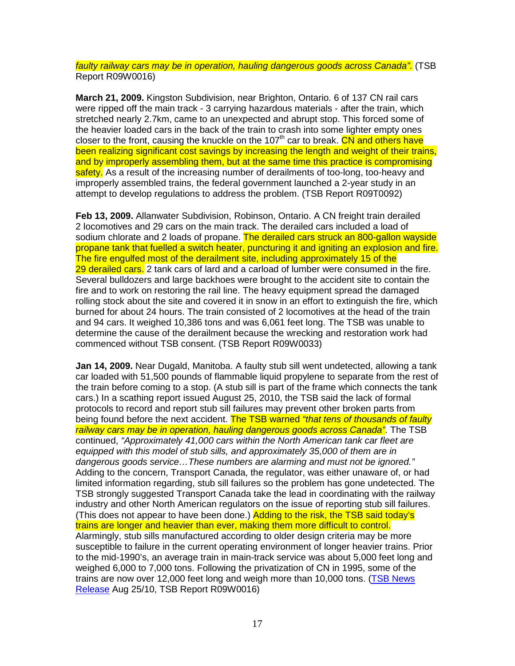faulty railway cars may be in operation, hauling dangerous goods across Canada". (TSB Report R09W0016)

**March 21, 2009.** Kingston Subdivision, near Brighton, Ontario. 6 of 137 CN rail cars were ripped off the main track - 3 carrying hazardous materials - after the train, which stretched nearly 2.7km, came to an unexpected and abrupt stop. This forced some of the heavier loaded cars in the back of the train to crash into some lighter empty ones closer to the front, causing the knuckle on the 107<sup>th</sup> car to break. CN and others have been realizing significant cost savings by increasing the length and weight of their trains, and by improperly assembling them, but at the same time this practice is compromising safety. As a result of the increasing number of derailments of too-long, too-heavy and improperly assembled trains, the federal government launched a 2-year study in an attempt to develop regulations to address the problem. (TSB Report R09T0092)

**Feb 13, 2009.** Allanwater Subdivision, Robinson, Ontario. A CN freight train derailed 2 locomotives and 29 cars on the main track. The derailed cars included a load of sodium chlorate and 2 loads of propane. The derailed cars struck an 800-gallon wayside propane tank that fuelled a switch heater, puncturing it and igniting an explosion and fire. The fire engulfed most of the derailment site, including approximately 15 of the 29 derailed cars. 2 tank cars of lard and a carload of lumber were consumed in the fire. Several bulldozers and large backhoes were brought to the accident site to contain the fire and to work on restoring the rail line. The heavy equipment spread the damaged rolling stock about the site and covered it in snow in an effort to extinguish the fire, which burned for about 24 hours. The train consisted of 2 locomotives at the head of the train and 94 cars. It weighed 10,386 tons and was 6,061 feet long. The TSB was unable to determine the cause of the derailment because the wrecking and restoration work had commenced without TSB consent. (TSB Report R09W0033)

**Jan 14, 2009.** Near Dugald, Manitoba. A faulty stub sill went undetected, allowing a tank car loaded with 51,500 pounds of flammable liquid propylene to separate from the rest of the train before coming to a stop. (A stub sill is part of the frame which connects the tank cars.) In a scathing report issued August 25, 2010, the TSB said the lack of formal protocols to record and report stub sill failures may prevent other broken parts from being found before the next accident. The TSB warned "that tens of thousands of faulty railway cars may be in operation, hauling dangerous goods across Canada". The TSB continued, "Approximately 41,000 cars within the North American tank car fleet are equipped with this model of stub sills, and approximately 35,000 of them are in dangerous goods service…These numbers are alarming and must not be ignored." Adding to the concern, Transport Canada, the regulator, was either unaware of, or had limited information regarding, stub sill failures so the problem has gone undetected. The TSB strongly suggested Transport Canada take the lead in coordinating with the railway industry and other North American regulators on the issue of reporting stub sill failures. (This does not appear to have been done.) Adding to the risk, the TSB said today's trains are longer and heavier than ever, making them more difficult to control. Alarmingly, stub sills manufactured according to older design criteria may be more susceptible to failure in the current operating environment of longer heavier trains. Prior to the mid-1990's, an average train in main-track service was about 5,000 feet long and weighed 6,000 to 7,000 tons. Following the privatization of CN in 1995, some of the trains are now over 12,000 feet long and weigh more than 10,000 tons. (TSB News Release Aug 25/10, TSB Report R09W0016)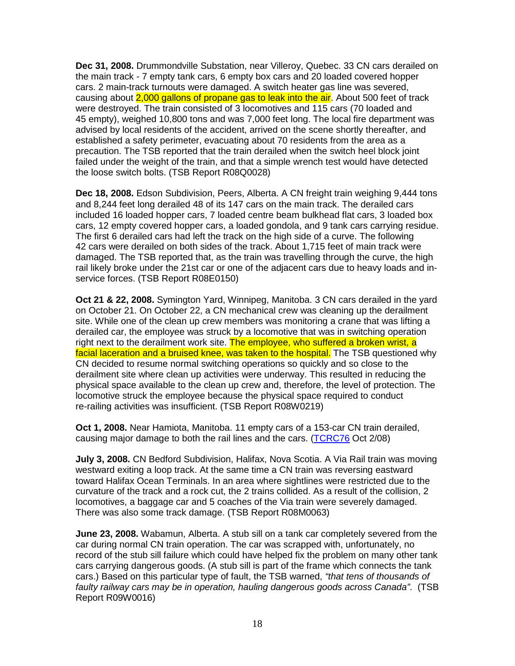**Dec 31, 2008.** Drummondville Substation, near Villeroy, Quebec. 33 CN cars derailed on the main track - 7 empty tank cars, 6 empty box cars and 20 loaded covered hopper cars. 2 main-track turnouts were damaged. A switch heater gas line was severed, causing about 2,000 gallons of propane gas to leak into the air. About 500 feet of track were destroyed. The train consisted of 3 locomotives and 115 cars (70 loaded and 45 empty), weighed 10,800 tons and was 7,000 feet long. The local fire department was advised by local residents of the accident, arrived on the scene shortly thereafter, and established a safety perimeter, evacuating about 70 residents from the area as a precaution. The TSB reported that the train derailed when the switch heel block joint failed under the weight of the train, and that a simple wrench test would have detected the loose switch bolts. (TSB Report R08Q0028)

**Dec 18, 2008.** Edson Subdivision, Peers, Alberta. A CN freight train weighing 9,444 tons and 8,244 feet long derailed 48 of its 147 cars on the main track. The derailed cars included 16 loaded hopper cars, 7 loaded centre beam bulkhead flat cars, 3 loaded box cars, 12 empty covered hopper cars, a loaded gondola, and 9 tank cars carrying residue. The first 6 derailed cars had left the track on the high side of a curve. The following 42 cars were derailed on both sides of the track. About 1,715 feet of main track were damaged. The TSB reported that, as the train was travelling through the curve, the high rail likely broke under the 21st car or one of the adjacent cars due to heavy loads and inservice forces. (TSB Report R08E0150)

**Oct 21 & 22, 2008.** Symington Yard, Winnipeg, Manitoba. 3 CN cars derailed in the yard on October 21. On October 22, a CN mechanical crew was cleaning up the derailment site. While one of the clean up crew members was monitoring a crane that was lifting a derailed car, the employee was struck by a locomotive that was in switching operation right next to the derailment work site. The employee, who suffered a broken wrist, a facial laceration and a bruised knee, was taken to the hospital. The TSB questioned why CN decided to resume normal switching operations so quickly and so close to the derailment site where clean up activities were underway. This resulted in reducing the physical space available to the clean up crew and, therefore, the level of protection. The locomotive struck the employee because the physical space required to conduct re-railing activities was insufficient. (TSB Report R08W0219)

**Oct 1, 2008.** Near Hamiota, Manitoba. 11 empty cars of a 153-car CN train derailed, causing major damage to both the rail lines and the cars. (TCRC76 Oct 2/08)

**July 3, 2008.** CN Bedford Subdivision, Halifax, Nova Scotia. A Via Rail train was moving westward exiting a loop track. At the same time a CN train was reversing eastward toward Halifax Ocean Terminals. In an area where sightlines were restricted due to the curvature of the track and a rock cut, the 2 trains collided. As a result of the collision, 2 locomotives, a baggage car and 5 coaches of the Via train were severely damaged. There was also some track damage. (TSB Report R08M0063)

**June 23, 2008.** Wabamun, Alberta. A stub sill on a tank car completely severed from the car during normal CN train operation. The car was scrapped with, unfortunately, no record of the stub sill failure which could have helped fix the problem on many other tank cars carrying dangerous goods. (A stub sill is part of the frame which connects the tank cars.) Based on this particular type of fault, the TSB warned, "that tens of thousands of faulty railway cars may be in operation, hauling dangerous goods across Canada". (TSB Report R09W0016)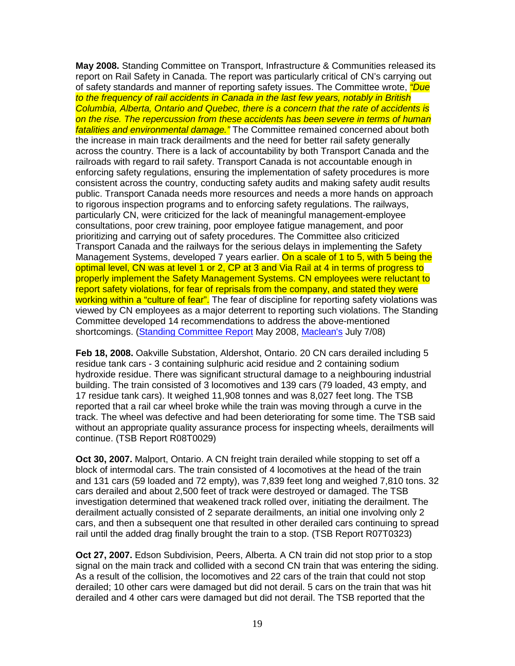**May 2008.** Standing Committee on Transport, Infrastructure & Communities released its report on Rail Safety in Canada. The report was particularly critical of CN's carrying out of safety standards and manner of reporting safety issues. The Committee wrote, *"Due* to the frequency of rail accidents in Canada in the last few years, notably in British Columbia, Alberta, Ontario and Quebec, there is a concern that the rate of accidents is on the rise. The repercussion from these accidents has been severe in terms of human fatalities and environmental damage." The Committee remained concerned about both the increase in main track derailments and the need for better rail safety generally across the country. There is a lack of accountability by both Transport Canada and the railroads with regard to rail safety. Transport Canada is not accountable enough in enforcing safety regulations, ensuring the implementation of safety procedures is more consistent across the country, conducting safety audits and making safety audit results public. Transport Canada needs more resources and needs a more hands on approach to rigorous inspection programs and to enforcing safety regulations. The railways, particularly CN, were criticized for the lack of meaningful management-employee consultations, poor crew training, poor employee fatigue management, and poor prioritizing and carrying out of safety procedures. The Committee also criticized Transport Canada and the railways for the serious delays in implementing the Safety Management Systems, developed 7 years earlier. On a scale of 1 to 5, with 5 being the optimal level, CN was at level 1 or 2, CP at 3 and Via Rail at 4 in terms of progress to properly implement the Safety Management Systems. CN employees were reluctant to report safety violations, for fear of reprisals from the company, and stated they were working within a "culture of fear". The fear of discipline for reporting safety violations was viewed by CN employees as a major deterrent to reporting such violations. The Standing Committee developed 14 recommendations to address the above-mentioned shortcomings. (Standing Committee Report May 2008, Maclean's July 7/08)

**Feb 18, 2008.** Oakville Substation, Aldershot, Ontario. 20 CN cars derailed including 5 residue tank cars - 3 containing sulphuric acid residue and 2 containing sodium hydroxide residue. There was significant structural damage to a neighbouring industrial building. The train consisted of 3 locomotives and 139 cars (79 loaded, 43 empty, and 17 residue tank cars). It weighed 11,908 tonnes and was 8,027 feet long. The TSB reported that a rail car wheel broke while the train was moving through a curve in the track. The wheel was defective and had been deteriorating for some time. The TSB said without an appropriate quality assurance process for inspecting wheels, derailments will continue. (TSB Report R08T0029)

**Oct 30, 2007.** Malport, Ontario. A CN freight train derailed while stopping to set off a block of intermodal cars. The train consisted of 4 locomotives at the head of the train and 131 cars (59 loaded and 72 empty), was 7,839 feet long and weighed 7,810 tons. 32 cars derailed and about 2,500 feet of track were destroyed or damaged. The TSB investigation determined that weakened track rolled over, initiating the derailment. The derailment actually consisted of 2 separate derailments, an initial one involving only 2 cars, and then a subsequent one that resulted in other derailed cars continuing to spread rail until the added drag finally brought the train to a stop. (TSB Report R07T0323)

**Oct 27, 2007.** Edson Subdivision, Peers, Alberta. A CN train did not stop prior to a stop signal on the main track and collided with a second CN train that was entering the siding. As a result of the collision, the locomotives and 22 cars of the train that could not stop derailed; 10 other cars were damaged but did not derail. 5 cars on the train that was hit derailed and 4 other cars were damaged but did not derail. The TSB reported that the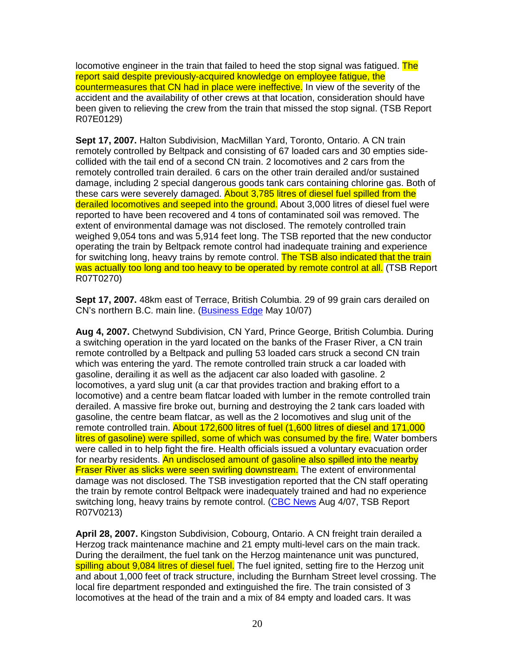locomotive engineer in the train that failed to heed the stop signal was fatigued. The report said despite previously-acquired knowledge on employee fatigue, the countermeasures that CN had in place were ineffective. In view of the severity of the accident and the availability of other crews at that location, consideration should have been given to relieving the crew from the train that missed the stop signal. (TSB Report R07E0129)

**Sept 17, 2007.** Halton Subdivision, MacMillan Yard, Toronto, Ontario. A CN train remotely controlled by Beltpack and consisting of 67 loaded cars and 30 empties sidecollided with the tail end of a second CN train. 2 locomotives and 2 cars from the remotely controlled train derailed. 6 cars on the other train derailed and/or sustained damage, including 2 special dangerous goods tank cars containing chlorine gas. Both of these cars were severely damaged. About 3,785 litres of diesel fuel spilled from the derailed locomotives and seeped into the ground. About 3,000 litres of diesel fuel were reported to have been recovered and 4 tons of contaminated soil was removed. The extent of environmental damage was not disclosed. The remotely controlled train weighed 9,054 tons and was 5,914 feet long. The TSB reported that the new conductor operating the train by Beltpack remote control had inadequate training and experience for switching long, heavy trains by remote control. The TSB also indicated that the train was actually too long and too heavy to be operated by remote control at all. (TSB Report R07T0270)

**Sept 17, 2007.** 48km east of Terrace, British Columbia. 29 of 99 grain cars derailed on CN's northern B.C. main line. (Business Edge May 10/07)

**Aug 4, 2007.** Chetwynd Subdivision, CN Yard, Prince George, British Columbia. During a switching operation in the yard located on the banks of the Fraser River, a CN train remote controlled by a Beltpack and pulling 53 loaded cars struck a second CN train which was entering the yard. The remote controlled train struck a car loaded with gasoline, derailing it as well as the adjacent car also loaded with gasoline. 2 locomotives, a yard slug unit (a car that provides traction and braking effort to a locomotive) and a centre beam flatcar loaded with lumber in the remote controlled train derailed. A massive fire broke out, burning and destroying the 2 tank cars loaded with gasoline, the centre beam flatcar, as well as the 2 locomotives and slug unit of the remote controlled train. About 172,600 litres of fuel (1,600 litres of diesel and 171,000 litres of gasoline) were spilled, some of which was consumed by the fire. Water bombers were called in to help fight the fire. Health officials issued a voluntary evacuation order for nearby residents. An undisclosed amount of gasoline also spilled into the nearby Fraser River as slicks were seen swirling downstream. The extent of environmental damage was not disclosed. The TSB investigation reported that the CN staff operating the train by remote control Beltpack were inadequately trained and had no experience switching long, heavy trains by remote control. (CBC News Aug 4/07, TSB Report R07V0213)

**April 28, 2007.** Kingston Subdivision, Cobourg, Ontario. A CN freight train derailed a Herzog track maintenance machine and 21 empty multi-level cars on the main track. During the derailment, the fuel tank on the Herzog maintenance unit was punctured, spilling about 9,084 litres of diesel fuel. The fuel ignited, setting fire to the Herzog unit and about 1,000 feet of track structure, including the Burnham Street level crossing. The local fire department responded and extinguished the fire. The train consisted of 3 locomotives at the head of the train and a mix of 84 empty and loaded cars. It was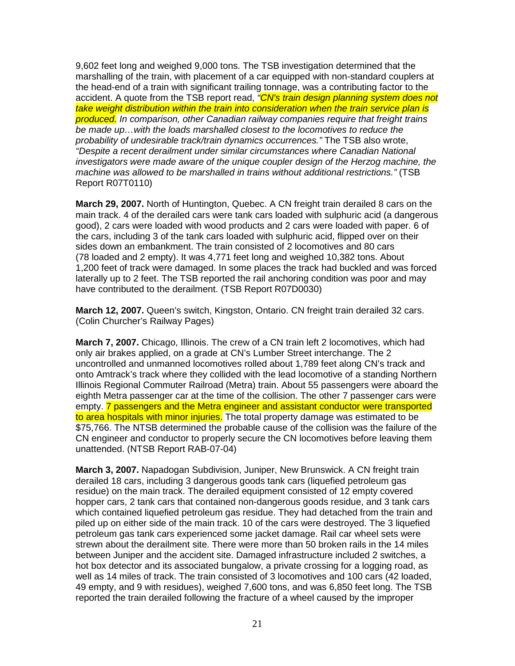9,602 feet long and weighed 9,000 tons. The TSB investigation determined that the marshalling of the train, with placement of a car equipped with non-standard couplers at the head-end of a train with significant trailing tonnage, was a contributing factor to the accident. A quote from the TSB report read, <sup>"</sup>CN's train design planning system does not take weight distribution within the train into consideration when the train service plan is produced. In comparison, other Canadian railway companies require that freight trains be made up…with the loads marshalled closest to the locomotives to reduce the probability of undesirable track/train dynamics occurrences." The TSB also wrote, "Despite a recent derailment under similar circumstances where Canadian National investigators were made aware of the unique coupler design of the Herzog machine, the machine was allowed to be marshalled in trains without additional restrictions." (TSB Report R07T0110)

**March 29, 2007.** North of Huntington, Quebec. A CN freight train derailed 8 cars on the main track. 4 of the derailed cars were tank cars loaded with sulphuric acid (a dangerous good), 2 cars were loaded with wood products and 2 cars were loaded with paper. 6 of the cars, including 3 of the tank cars loaded with sulphuric acid, flipped over on their sides down an embankment. The train consisted of 2 locomotives and 80 cars (78 loaded and 2 empty). It was 4,771 feet long and weighed 10,382 tons. About 1,200 feet of track were damaged. In some places the track had buckled and was forced laterally up to 2 feet. The TSB reported the rail anchoring condition was poor and may have contributed to the derailment. (TSB Report R07D0030)

**March 12, 2007.** Queen's switch, Kingston, Ontario. CN freight train derailed 32 cars. (Colin Churcher's Railway Pages)

**March 7, 2007.** Chicago, Illinois. The crew of a CN train left 2 locomotives, which had only air brakes applied, on a grade at CN's Lumber Street interchange. The 2 uncontrolled and unmanned locomotives rolled about 1,789 feet along CN's track and onto Amtrack's track where they collided with the lead locomotive of a standing Northern Illinois Regional Commuter Railroad (Metra) train. About 55 passengers were aboard the eighth Metra passenger car at the time of the collision. The other 7 passenger cars were empty. 7 passengers and the Metra engineer and assistant conductor were transported to area hospitals with minor injuries. The total property damage was estimated to be \$75,766. The NTSB determined the probable cause of the collision was the failure of the CN engineer and conductor to properly secure the CN locomotives before leaving them unattended. (NTSB Report RAB-07-04)

**March 3, 2007.** Napadogan Subdivision, Juniper, New Brunswick. A CN freight train derailed 18 cars, including 3 dangerous goods tank cars (liquefied petroleum gas residue) on the main track. The derailed equipment consisted of 12 empty covered hopper cars, 2 tank cars that contained non-dangerous goods residue, and 3 tank cars which contained liquefied petroleum gas residue. They had detached from the train and piled up on either side of the main track. 10 of the cars were destroyed. The 3 liquefied petroleum gas tank cars experienced some jacket damage. Rail car wheel sets were strewn about the derailment site. There were more than 50 broken rails in the 14 miles between Juniper and the accident site. Damaged infrastructure included 2 switches, a hot box detector and its associated bungalow, a private crossing for a logging road, as well as 14 miles of track. The train consisted of 3 locomotives and 100 cars (42 loaded, 49 empty, and 9 with residues), weighed 7,600 tons, and was 6,850 feet long. The TSB reported the train derailed following the fracture of a wheel caused by the improper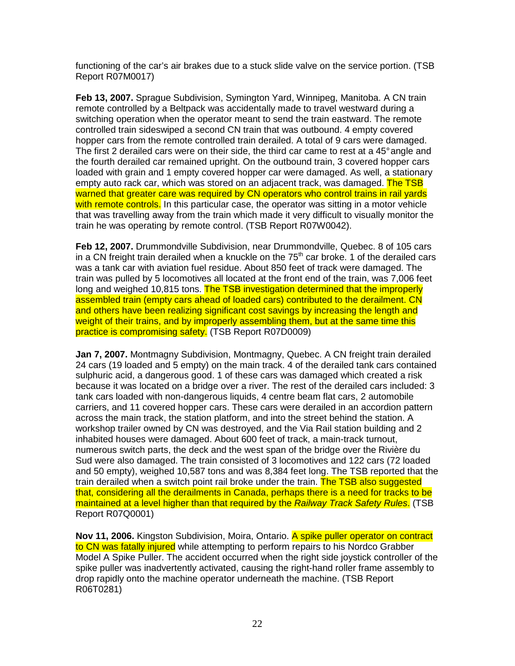functioning of the car's air brakes due to a stuck slide valve on the service portion. (TSB Report R07M0017)

**Feb 13, 2007.** Sprague Subdivision, Symington Yard, Winnipeg, Manitoba. A CN train remote controlled by a Beltpack was accidentally made to travel westward during a switching operation when the operator meant to send the train eastward. The remote controlled train sideswiped a second CN train that was outbound. 4 empty covered hopper cars from the remote controlled train derailed. A total of 9 cars were damaged. The first 2 derailed cars were on their side, the third car came to rest at a 45° angle and the fourth derailed car remained upright. On the outbound train, 3 covered hopper cars loaded with grain and 1 empty covered hopper car were damaged. As well, a stationary empty auto rack car, which was stored on an adjacent track, was damaged. The TSB warned that greater care was required by CN operators who control trains in rail yards with remote controls. In this particular case, the operator was sitting in a motor vehicle that was travelling away from the train which made it very difficult to visually monitor the train he was operating by remote control. (TSB Report R07W0042).

**Feb 12, 2007.** Drummondville Subdivision, near Drummondville, Quebec. 8 of 105 cars in a CN freight train derailed when a knuckle on the  $75<sup>th</sup>$  car broke. 1 of the derailed cars was a tank car with aviation fuel residue. About 850 feet of track were damaged. The train was pulled by 5 locomotives all located at the front end of the train, was 7,006 feet long and weighed 10,815 tons. The TSB investigation determined that the improperly assembled train (empty cars ahead of loaded cars) contributed to the derailment. CN and others have been realizing significant cost savings by increasing the length and weight of their trains, and by improperly assembling them, but at the same time this practice is compromising safety. (TSB Report R07D0009)

**Jan 7, 2007.** Montmagny Subdivision, Montmagny, Quebec. A CN freight train derailed 24 cars (19 loaded and 5 empty) on the main track. 4 of the derailed tank cars contained sulphuric acid, a dangerous good. 1 of these cars was damaged which created a risk because it was located on a bridge over a river. The rest of the derailed cars included: 3 tank cars loaded with non-dangerous liquids, 4 centre beam flat cars, 2 automobile carriers, and 11 covered hopper cars. These cars were derailed in an accordion pattern across the main track, the station platform, and into the street behind the station. A workshop trailer owned by CN was destroyed, and the Via Rail station building and 2 inhabited houses were damaged. About 600 feet of track, a main-track turnout, numerous switch parts, the deck and the west span of the bridge over the Rivière du Sud were also damaged. The train consisted of 3 locomotives and 122 cars (72 loaded and 50 empty), weighed 10,587 tons and was 8,384 feet long. The TSB reported that the train derailed when a switch point rail broke under the train. The TSB also suggested that, considering all the derailments in Canada, perhaps there is a need for tracks to be maintained at a level higher than that required by the Railway Track Safety Rules. (TSB Report R07Q0001)

**Nov 11, 2006.** Kingston Subdivision, Moira, Ontario. A spike puller operator on contract to CN was fatally injured while attempting to perform repairs to his Nordco Grabber Model A Spike Puller. The accident occurred when the right side joystick controller of the spike puller was inadvertently activated, causing the right-hand roller frame assembly to drop rapidly onto the machine operator underneath the machine. (TSB Report R06T0281)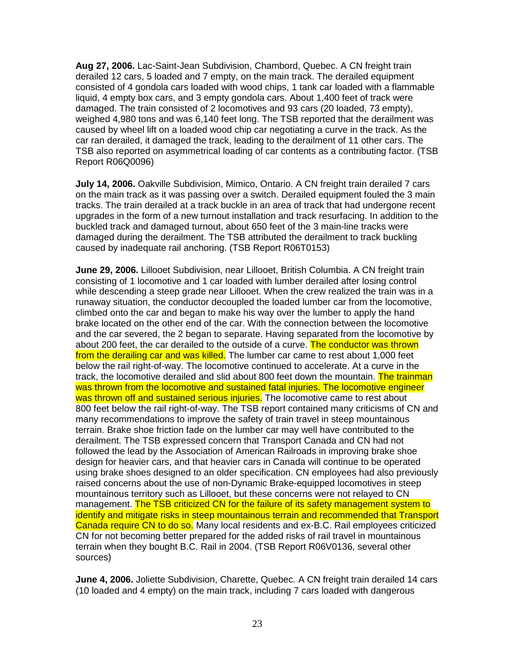**Aug 27, 2006.** Lac-Saint-Jean Subdivision, Chambord, Quebec. A CN freight train derailed 12 cars, 5 loaded and 7 empty, on the main track. The derailed equipment consisted of 4 gondola cars loaded with wood chips, 1 tank car loaded with a flammable liquid, 4 empty box cars, and 3 empty gondola cars. About 1,400 feet of track were damaged. The train consisted of 2 locomotives and 93 cars (20 loaded, 73 empty), weighed 4,980 tons and was 6,140 feet long. The TSB reported that the derailment was caused by wheel lift on a loaded wood chip car negotiating a curve in the track. As the car ran derailed, it damaged the track, leading to the derailment of 11 other cars. The TSB also reported on asymmetrical loading of car contents as a contributing factor. (TSB Report R06Q0096)

**July 14, 2006.** Oakville Subdivision, Mimico, Ontario. A CN freight train derailed 7 cars on the main track as it was passing over a switch. Derailed equipment fouled the 3 main tracks. The train derailed at a track buckle in an area of track that had undergone recent upgrades in the form of a new turnout installation and track resurfacing. In addition to the buckled track and damaged turnout, about 650 feet of the 3 main-line tracks were damaged during the derailment. The TSB attributed the derailment to track buckling caused by inadequate rail anchoring. (TSB Report R06T0153)

**June 29, 2006.** Lillooet Subdivision, near Lillooet, British Columbia. A CN freight train consisting of 1 locomotive and 1 car loaded with lumber derailed after losing control while descending a steep grade near Lillooet. When the crew realized the train was in a runaway situation, the conductor decoupled the loaded lumber car from the locomotive, climbed onto the car and began to make his way over the lumber to apply the hand brake located on the other end of the car. With the connection between the locomotive and the car severed, the 2 began to separate. Having separated from the locomotive by about 200 feet, the car derailed to the outside of a curve. The conductor was thrown from the derailing car and was killed. The lumber car came to rest about 1,000 feet below the rail right-of-way. The locomotive continued to accelerate. At a curve in the track, the locomotive derailed and slid about 800 feet down the mountain. The trainman was thrown from the locomotive and sustained fatal injuries. The locomotive engineer was thrown off and sustained serious injuries. The locomotive came to rest about 800 feet below the rail right-of-way. The TSB report contained many criticisms of CN and many recommendations to improve the safety of train travel in steep mountainous terrain. Brake shoe friction fade on the lumber car may well have contributed to the derailment. The TSB expressed concern that Transport Canada and CN had not followed the lead by the Association of American Railroads in improving brake shoe design for heavier cars, and that heavier cars in Canada will continue to be operated using brake shoes designed to an older specification. CN employees had also previously raised concerns about the use of non-Dynamic Brake-equipped locomotives in steep mountainous territory such as Lillooet, but these concerns were not relayed to CN management. The TSB criticized CN for the failure of its safety management system to identify and mitigate risks in steep mountainous terrain and recommended that Transport Canada require CN to do so. Many local residents and ex-B.C. Rail employees criticized CN for not becoming better prepared for the added risks of rail travel in mountainous terrain when they bought B.C. Rail in 2004. (TSB Report R06V0136, several other sources)

**June 4, 2006.** Joliette Subdivision, Charette, Quebec. A CN freight train derailed 14 cars (10 loaded and 4 empty) on the main track, including 7 cars loaded with dangerous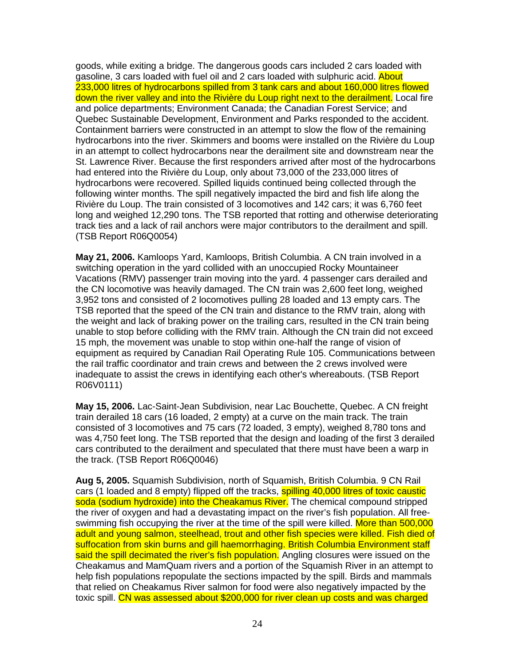goods, while exiting a bridge. The dangerous goods cars included 2 cars loaded with gasoline, 3 cars loaded with fuel oil and 2 cars loaded with sulphuric acid. About 233,000 litres of hydrocarbons spilled from 3 tank cars and about 160,000 litres flowed down the river valley and into the Rivière du Loup right next to the derailment. Local fire and police departments; Environment Canada; the Canadian Forest Service; and Quebec Sustainable Development, Environment and Parks responded to the accident. Containment barriers were constructed in an attempt to slow the flow of the remaining hydrocarbons into the river. Skimmers and booms were installed on the Rivière du Loup in an attempt to collect hydrocarbons near the derailment site and downstream near the St. Lawrence River. Because the first responders arrived after most of the hydrocarbons had entered into the Rivière du Loup, only about 73,000 of the 233,000 litres of hydrocarbons were recovered. Spilled liquids continued being collected through the following winter months. The spill negatively impacted the bird and fish life along the Rivière du Loup. The train consisted of 3 locomotives and 142 cars; it was 6,760 feet long and weighed 12,290 tons. The TSB reported that rotting and otherwise deteriorating track ties and a lack of rail anchors were major contributors to the derailment and spill. (TSB Report R06Q0054)

**May 21, 2006.** Kamloops Yard, Kamloops, British Columbia. A CN train involved in a switching operation in the yard collided with an unoccupied Rocky Mountaineer Vacations (RMV) passenger train moving into the yard. 4 passenger cars derailed and the CN locomotive was heavily damaged. The CN train was 2,600 feet long, weighed 3,952 tons and consisted of 2 locomotives pulling 28 loaded and 13 empty cars. The TSB reported that the speed of the CN train and distance to the RMV train, along with the weight and lack of braking power on the trailing cars, resulted in the CN train being unable to stop before colliding with the RMV train. Although the CN train did not exceed 15 mph, the movement was unable to stop within one-half the range of vision of equipment as required by Canadian Rail Operating Rule 105. Communications between the rail traffic coordinator and train crews and between the 2 crews involved were inadequate to assist the crews in identifying each other's whereabouts. (TSB Report R06V0111)

**May 15, 2006.** Lac-Saint-Jean Subdivision, near Lac Bouchette, Quebec. A CN freight train derailed 18 cars (16 loaded, 2 empty) at a curve on the main track. The train consisted of 3 locomotives and 75 cars (72 loaded, 3 empty), weighed 8,780 tons and was 4,750 feet long. The TSB reported that the design and loading of the first 3 derailed cars contributed to the derailment and speculated that there must have been a warp in the track. (TSB Report R06Q0046)

**Aug 5, 2005.** Squamish Subdivision, north of Squamish, British Columbia. 9 CN Rail cars (1 loaded and 8 empty) flipped off the tracks, **spilling 40,000 litres of toxic caustic** soda (sodium hydroxide) into the Cheakamus River. The chemical compound stripped the river of oxygen and had a devastating impact on the river's fish population. All freeswimming fish occupying the river at the time of the spill were killed. More than 500,000 adult and young salmon, steelhead, trout and other fish species were killed. Fish died of suffocation from skin burns and gill haemorrhaging. British Columbia Environment staff said the spill decimated the river's fish population. Angling closures were issued on the Cheakamus and MamQuam rivers and a portion of the Squamish River in an attempt to help fish populations repopulate the sections impacted by the spill. Birds and mammals that relied on Cheakamus River salmon for food were also negatively impacted by the toxic spill. CN was assessed about \$200,000 for river clean up costs and was charged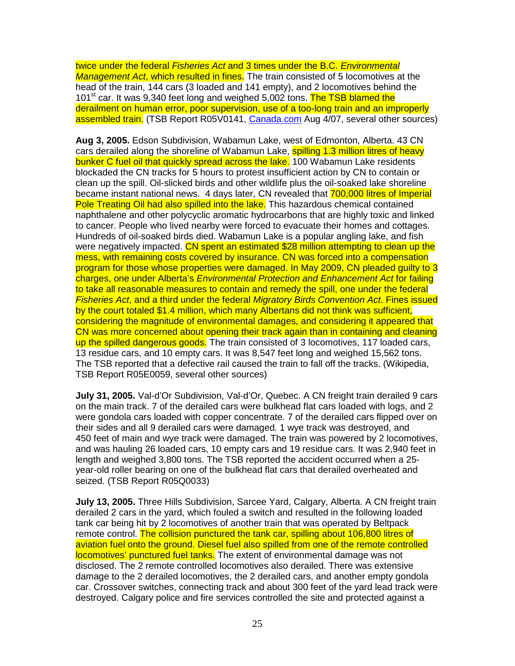twice under the federal Fisheries Act and 3 times under the B.C. Environmental Management Act, which resulted in fines. The train consisted of 5 locomotives at the head of the train, 144 cars (3 loaded and 141 empty), and 2 locomotives behind the 101<sup>st</sup> car. It was 9,340 feet long and weighed 5,002 tons. The TSB blamed the derailment on human error, poor supervision, use of a too-long train and an improperly assembled train. (TSB Report R05V0141, Canada.com Aug 4/07, several other sources)

**Aug 3, 2005.** Edson Subdivision, Wabamun Lake, west of Edmonton, Alberta. 43 CN cars derailed along the shoreline of Wabamun Lake, spilling 1.3 million litres of heavy bunker C fuel oil that quickly spread across the lake. 100 Wabamun Lake residents blockaded the CN tracks for 5 hours to protest insufficient action by CN to contain or clean up the spill. Oil-slicked birds and other wildlife plus the oil-soaked lake shoreline became instant national news. 4 days later, CN revealed that 700,000 litres of Imperial Pole Treating Oil had also spilled into the lake. This hazardous chemical contained naphthalene and other polycyclic aromatic hydrocarbons that are highly toxic and linked to cancer. People who lived nearby were forced to evacuate their homes and cottages. Hundreds of oil-soaked birds died. Wabamun Lake is a popular angling lake, and fish were negatively impacted. CN spent an estimated \$28 million attempting to clean up the mess, with remaining costs covered by insurance. CN was forced into a compensation program for those whose properties were damaged. In May 2009, CN pleaded guilty to 3 charges, one under Alberta's Environmental Protection and Enhancement Act for failing to take all reasonable measures to contain and remedy the spill, one under the federal Fisheries Act, and a third under the federal Migratory Birds Convention Act. Fines issued by the court totaled \$1.4 million, which many Albertans did not think was sufficient, considering the magnitude of environmental damages, and considering it appeared that CN was more concerned about opening their track again than in containing and cleaning up the spilled dangerous goods. The train consisted of 3 locomotives, 117 loaded cars, 13 residue cars, and 10 empty cars. It was 8,547 feet long and weighed 15,562 tons. The TSB reported that a defective rail caused the train to fall off the tracks. (Wikipedia, TSB Report R05E0059, several other sources)

**July 31, 2005.** Val-d'Or Subdivision, Val-d'Or, Quebec. A CN freight train derailed 9 cars on the main track. 7 of the derailed cars were bulkhead flat cars loaded with logs, and 2 were gondola cars loaded with copper concentrate. 7 of the derailed cars flipped over on their sides and all 9 derailed cars were damaged. 1 wye track was destroyed, and 450 feet of main and wye track were damaged. The train was powered by 2 locomotives, and was hauling 26 loaded cars, 10 empty cars and 19 residue cars. It was 2,940 feet in length and weighed 3,800 tons. The TSB reported the accident occurred when a 25 year-old roller bearing on one of the bulkhead flat cars that derailed overheated and seized. (TSB Report R05Q0033)

**July 13, 2005.** Three Hills Subdivision, Sarcee Yard, Calgary, Alberta. A CN freight train derailed 2 cars in the yard, which fouled a switch and resulted in the following loaded tank car being hit by 2 locomotives of another train that was operated by Beltpack remote control. The collision punctured the tank car, spilling about 106,800 litres of aviation fuel onto the ground. Diesel fuel also spilled from one of the remote controlled locomotives' punctured fuel tanks. The extent of environmental damage was not disclosed. The 2 remote controlled locomotives also derailed. There was extensive damage to the 2 derailed locomotives, the 2 derailed cars, and another empty gondola car. Crossover switches, connecting track and about 300 feet of the yard lead track were destroyed. Calgary police and fire services controlled the site and protected against a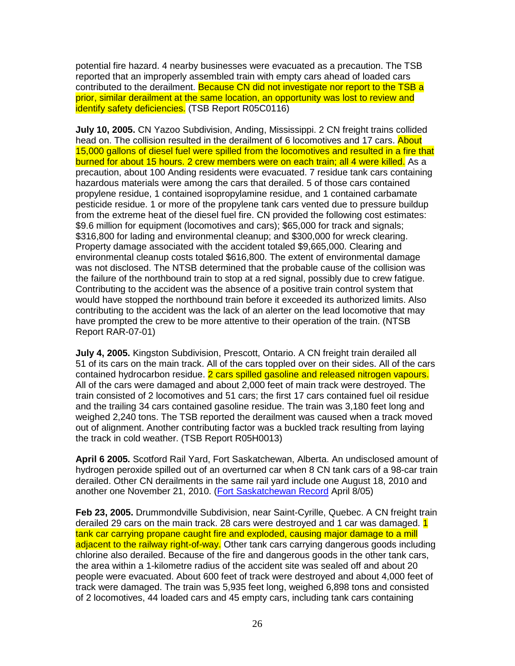potential fire hazard. 4 nearby businesses were evacuated as a precaution. The TSB reported that an improperly assembled train with empty cars ahead of loaded cars contributed to the derailment. Because CN did not investigate nor report to the TSB a prior, similar derailment at the same location, an opportunity was lost to review and identify safety deficiencies. (TSB Report R05C0116)

**July 10, 2005.** CN Yazoo Subdivision, Anding, Mississippi. 2 CN freight trains collided head on. The collision resulted in the derailment of 6 locomotives and 17 cars. About 15,000 gallons of diesel fuel were spilled from the locomotives and resulted in a fire that burned for about 15 hours. 2 crew members were on each train; all 4 were killed. As a precaution, about 100 Anding residents were evacuated. 7 residue tank cars containing hazardous materials were among the cars that derailed. 5 of those cars contained propylene residue, 1 contained isopropylamine residue, and 1 contained carbamate pesticide residue. 1 or more of the propylene tank cars vented due to pressure buildup from the extreme heat of the diesel fuel fire. CN provided the following cost estimates: \$9.6 million for equipment (locomotives and cars); \$65,000 for track and signals; \$316,800 for lading and environmental cleanup; and \$300,000 for wreck clearing. Property damage associated with the accident totaled \$9,665,000. Clearing and environmental cleanup costs totaled \$616,800. The extent of environmental damage was not disclosed. The NTSB determined that the probable cause of the collision was the failure of the northbound train to stop at a red signal, possibly due to crew fatigue. Contributing to the accident was the absence of a positive train control system that would have stopped the northbound train before it exceeded its authorized limits. Also contributing to the accident was the lack of an alerter on the lead locomotive that may have prompted the crew to be more attentive to their operation of the train. (NTSB Report RAR-07-01)

**July 4, 2005.** Kingston Subdivision, Prescott, Ontario. A CN freight train derailed all 51 of its cars on the main track. All of the cars toppled over on their sides. All of the cars contained hydrocarbon residue. 2 cars spilled gasoline and released nitrogen vapours. All of the cars were damaged and about 2,000 feet of main track were destroyed. The train consisted of 2 locomotives and 51 cars; the first 17 cars contained fuel oil residue and the trailing 34 cars contained gasoline residue. The train was 3,180 feet long and weighed 2,240 tons. The TSB reported the derailment was caused when a track moved out of alignment. Another contributing factor was a buckled track resulting from laying the track in cold weather. (TSB Report R05H0013)

**April 6 2005.** Scotford Rail Yard, Fort Saskatchewan, Alberta. An undisclosed amount of hydrogen peroxide spilled out of an overturned car when 8 CN tank cars of a 98-car train derailed. Other CN derailments in the same rail yard include one August 18, 2010 and another one November 21, 2010. (Fort Saskatchewan Record April 8/05)

**Feb 23, 2005.** Drummondville Subdivision, near Saint-Cyrille, Quebec. A CN freight train derailed 29 cars on the main track. 28 cars were destroyed and 1 car was damaged. 1 tank car carrying propane caught fire and exploded, causing major damage to a mill adjacent to the railway right-of-way. Other tank cars carrying dangerous goods including chlorine also derailed. Because of the fire and dangerous goods in the other tank cars, the area within a 1-kilometre radius of the accident site was sealed off and about 20 people were evacuated. About 600 feet of track were destroyed and about 4,000 feet of track were damaged. The train was 5,935 feet long, weighed 6,898 tons and consisted of 2 locomotives, 44 loaded cars and 45 empty cars, including tank cars containing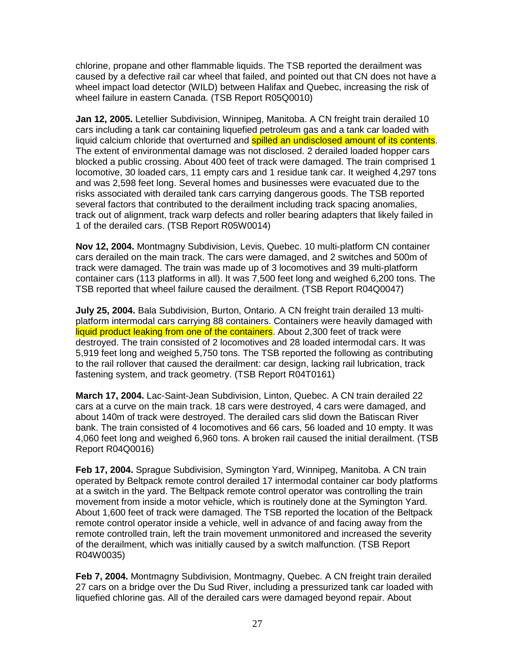chlorine, propane and other flammable liquids. The TSB reported the derailment was caused by a defective rail car wheel that failed, and pointed out that CN does not have a wheel impact load detector (WILD) between Halifax and Quebec, increasing the risk of wheel failure in eastern Canada. (TSB Report R05Q0010)

**Jan 12, 2005.** Letellier Subdivision, Winnipeg, Manitoba. A CN freight train derailed 10 cars including a tank car containing liquefied petroleum gas and a tank car loaded with liquid calcium chloride that overturned and spilled an undisclosed amount of its contents. The extent of environmental damage was not disclosed. 2 derailed loaded hopper cars blocked a public crossing. About 400 feet of track were damaged. The train comprised 1 locomotive, 30 loaded cars, 11 empty cars and 1 residue tank car. It weighed 4,297 tons and was 2,598 feet long. Several homes and businesses were evacuated due to the risks associated with derailed tank cars carrying dangerous goods. The TSB reported several factors that contributed to the derailment including track spacing anomalies, track out of alignment, track warp defects and roller bearing adapters that likely failed in 1 of the derailed cars. (TSB Report R05W0014)

**Nov 12, 2004.** Montmagny Subdivision, Levis, Quebec. 10 multi-platform CN container cars derailed on the main track. The cars were damaged, and 2 switches and 500m of track were damaged. The train was made up of 3 locomotives and 39 multi-platform container cars (113 platforms in all). It was 7,500 feet long and weighed 6,200 tons. The TSB reported that wheel failure caused the derailment. (TSB Report R04Q0047)

**July 25, 2004.** Bala Subdivision, Burton, Ontario. A CN freight train derailed 13 multiplatform intermodal cars carrying 88 containers. Containers were heavily damaged with liquid product leaking from one of the containers. About 2,300 feet of track were destroyed. The train consisted of 2 locomotives and 28 loaded intermodal cars. It was 5,919 feet long and weighed 5,750 tons. The TSB reported the following as contributing to the rail rollover that caused the derailment: car design, lacking rail lubrication, track fastening system, and track geometry. (TSB Report R04T0161)

**March 17, 2004.** Lac-Saint-Jean Subdivision, Linton, Quebec. A CN train derailed 22 cars at a curve on the main track. 18 cars were destroyed, 4 cars were damaged, and about 140m of track were destroyed. The derailed cars slid down the Batiscan River bank. The train consisted of 4 locomotives and 66 cars, 56 loaded and 10 empty. It was 4,060 feet long and weighed 6,960 tons. A broken rail caused the initial derailment. (TSB Report R04Q0016)

**Feb 17, 2004.** Sprague Subdivision, Symington Yard, Winnipeg, Manitoba. A CN train operated by Beltpack remote control derailed 17 intermodal container car body platforms at a switch in the yard. The Beltpack remote control operator was controlling the train movement from inside a motor vehicle, which is routinely done at the Symington Yard. About 1,600 feet of track were damaged. The TSB reported the location of the Beltpack remote control operator inside a vehicle, well in advance of and facing away from the remote controlled train, left the train movement unmonitored and increased the severity of the derailment, which was initially caused by a switch malfunction. (TSB Report R04W0035)

**Feb 7, 2004.** Montmagny Subdivision, Montmagny, Quebec. A CN freight train derailed 27 cars on a bridge over the Du Sud River, including a pressurized tank car loaded with liquefied chlorine gas. All of the derailed cars were damaged beyond repair. About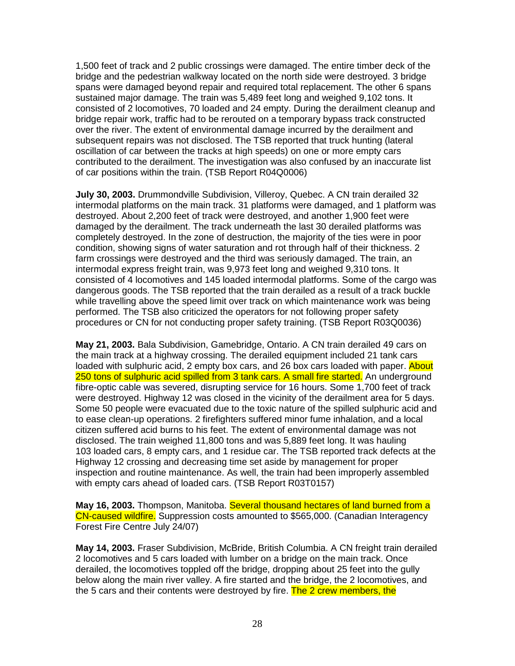1,500 feet of track and 2 public crossings were damaged. The entire timber deck of the bridge and the pedestrian walkway located on the north side were destroyed. 3 bridge spans were damaged beyond repair and required total replacement. The other 6 spans sustained major damage. The train was 5,489 feet long and weighed 9,102 tons. It consisted of 2 locomotives, 70 loaded and 24 empty. During the derailment cleanup and bridge repair work, traffic had to be rerouted on a temporary bypass track constructed over the river. The extent of environmental damage incurred by the derailment and subsequent repairs was not disclosed. The TSB reported that truck hunting (lateral oscillation of car between the tracks at high speeds) on one or more empty cars contributed to the derailment. The investigation was also confused by an inaccurate list of car positions within the train. (TSB Report R04Q0006)

**July 30, 2003.** Drummondville Subdivision, Villeroy, Quebec. A CN train derailed 32 intermodal platforms on the main track. 31 platforms were damaged, and 1 platform was destroyed. About 2,200 feet of track were destroyed, and another 1,900 feet were damaged by the derailment. The track underneath the last 30 derailed platforms was completely destroyed. In the zone of destruction, the majority of the ties were in poor condition, showing signs of water saturation and rot through half of their thickness. 2 farm crossings were destroyed and the third was seriously damaged. The train, an intermodal express freight train, was 9,973 feet long and weighed 9,310 tons. It consisted of 4 locomotives and 145 loaded intermodal platforms. Some of the cargo was dangerous goods. The TSB reported that the train derailed as a result of a track buckle while travelling above the speed limit over track on which maintenance work was being performed. The TSB also criticized the operators for not following proper safety procedures or CN for not conducting proper safety training. (TSB Report R03Q0036)

**May 21, 2003.** Bala Subdivision, Gamebridge, Ontario. A CN train derailed 49 cars on the main track at a highway crossing. The derailed equipment included 21 tank cars loaded with sulphuric acid, 2 empty box cars, and 26 box cars loaded with paper. About 250 tons of sulphuric acid spilled from 3 tank cars. A small fire started. An underground fibre-optic cable was severed, disrupting service for 16 hours. Some 1,700 feet of track were destroyed. Highway 12 was closed in the vicinity of the derailment area for 5 days. Some 50 people were evacuated due to the toxic nature of the spilled sulphuric acid and to ease clean-up operations. 2 firefighters suffered minor fume inhalation, and a local citizen suffered acid burns to his feet. The extent of environmental damage was not disclosed. The train weighed 11,800 tons and was 5,889 feet long. It was hauling 103 loaded cars, 8 empty cars, and 1 residue car. The TSB reported track defects at the Highway 12 crossing and decreasing time set aside by management for proper inspection and routine maintenance. As well, the train had been improperly assembled with empty cars ahead of loaded cars. (TSB Report R03T0157)

**May 16, 2003.** Thompson, Manitoba. Several thousand hectares of land burned from a CN-caused wildfire. Suppression costs amounted to \$565,000. (Canadian Interagency Forest Fire Centre July 24/07)

**May 14, 2003.** Fraser Subdivision, McBride, British Columbia. A CN freight train derailed 2 locomotives and 5 cars loaded with lumber on a bridge on the main track. Once derailed, the locomotives toppled off the bridge, dropping about 25 feet into the gully below along the main river valley. A fire started and the bridge, the 2 locomotives, and the 5 cars and their contents were destroyed by fire. The 2 crew members, the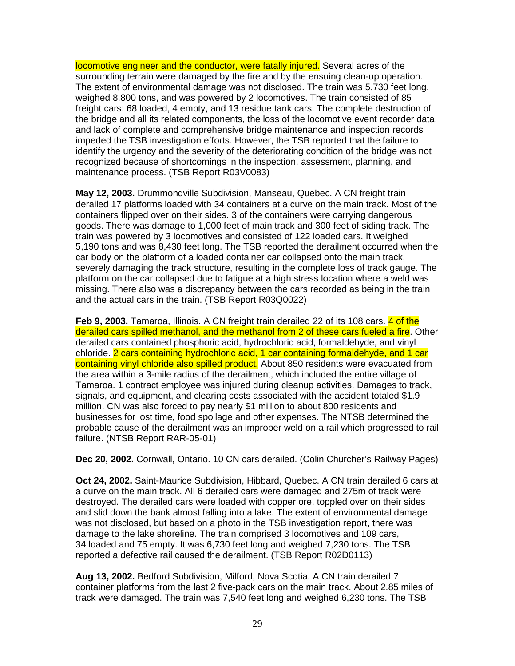locomotive engineer and the conductor, were fatally injured. Several acres of the surrounding terrain were damaged by the fire and by the ensuing clean-up operation. The extent of environmental damage was not disclosed. The train was 5,730 feet long, weighed 8,800 tons, and was powered by 2 locomotives. The train consisted of 85 freight cars: 68 loaded, 4 empty, and 13 residue tank cars. The complete destruction of the bridge and all its related components, the loss of the locomotive event recorder data, and lack of complete and comprehensive bridge maintenance and inspection records impeded the TSB investigation efforts. However, the TSB reported that the failure to identify the urgency and the severity of the deteriorating condition of the bridge was not recognized because of shortcomings in the inspection, assessment, planning, and maintenance process. (TSB Report R03V0083)

**May 12, 2003.** Drummondville Subdivision, Manseau, Quebec. A CN freight train derailed 17 platforms loaded with 34 containers at a curve on the main track. Most of the containers flipped over on their sides. 3 of the containers were carrying dangerous goods. There was damage to 1,000 feet of main track and 300 feet of siding track. The train was powered by 3 locomotives and consisted of 122 loaded cars. It weighed 5,190 tons and was 8,430 feet long. The TSB reported the derailment occurred when the car body on the platform of a loaded container car collapsed onto the main track, severely damaging the track structure, resulting in the complete loss of track gauge. The platform on the car collapsed due to fatigue at a high stress location where a weld was missing. There also was a discrepancy between the cars recorded as being in the train and the actual cars in the train. (TSB Report R03Q0022)

**Feb 9, 2003.** Tamaroa, Illinois. A CN freight train derailed 22 of its 108 cars. 4 of the derailed cars spilled methanol, and the methanol from 2 of these cars fueled a fire. Other derailed cars contained phosphoric acid, hydrochloric acid, formaldehyde, and vinyl chloride. 2 cars containing hydrochloric acid, 1 car containing formaldehyde, and 1 car containing vinyl chloride also spilled product. About 850 residents were evacuated from the area within a 3-mile radius of the derailment, which included the entire village of Tamaroa. 1 contract employee was injured during cleanup activities. Damages to track, signals, and equipment, and clearing costs associated with the accident totaled \$1.9 million. CN was also forced to pay nearly \$1 million to about 800 residents and businesses for lost time, food spoilage and other expenses. The NTSB determined the probable cause of the derailment was an improper weld on a rail which progressed to rail failure. (NTSB Report RAR-05-01)

**Dec 20, 2002.** Cornwall, Ontario. 10 CN cars derailed. (Colin Churcher's Railway Pages)

**Oct 24, 2002.** Saint-Maurice Subdivision, Hibbard, Quebec. A CN train derailed 6 cars at a curve on the main track. All 6 derailed cars were damaged and 275m of track were destroyed. The derailed cars were loaded with copper ore, toppled over on their sides and slid down the bank almost falling into a lake. The extent of environmental damage was not disclosed, but based on a photo in the TSB investigation report, there was damage to the lake shoreline. The train comprised 3 locomotives and 109 cars, 34 loaded and 75 empty. It was 6,730 feet long and weighed 7,230 tons. The TSB reported a defective rail caused the derailment. (TSB Report R02D0113)

**Aug 13, 2002.** Bedford Subdivision, Milford, Nova Scotia. A CN train derailed 7 container platforms from the last 2 five-pack cars on the main track. About 2.85 miles of track were damaged. The train was 7,540 feet long and weighed 6,230 tons. The TSB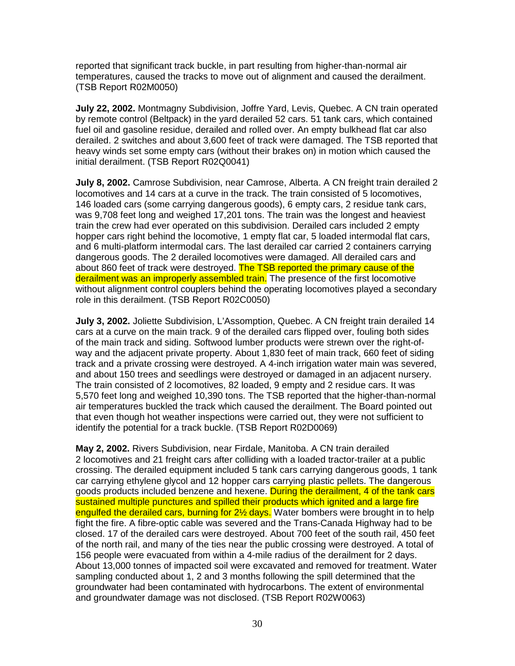reported that significant track buckle, in part resulting from higher-than-normal air temperatures, caused the tracks to move out of alignment and caused the derailment. (TSB Report R02M0050)

**July 22, 2002.** Montmagny Subdivision, Joffre Yard, Levis, Quebec. A CN train operated by remote control (Beltpack) in the yard derailed 52 cars. 51 tank cars, which contained fuel oil and gasoline residue, derailed and rolled over. An empty bulkhead flat car also derailed. 2 switches and about 3,600 feet of track were damaged. The TSB reported that heavy winds set some empty cars (without their brakes on) in motion which caused the initial derailment. (TSB Report R02Q0041)

**July 8, 2002.** Camrose Subdivision, near Camrose, Alberta. A CN freight train derailed 2 locomotives and 14 cars at a curve in the track. The train consisted of 5 locomotives, 146 loaded cars (some carrying dangerous goods), 6 empty cars, 2 residue tank cars, was 9,708 feet long and weighed 17,201 tons. The train was the longest and heaviest train the crew had ever operated on this subdivision. Derailed cars included 2 empty hopper cars right behind the locomotive, 1 empty flat car, 5 loaded intermodal flat cars, and 6 multi-platform intermodal cars. The last derailed car carried 2 containers carrying dangerous goods. The 2 derailed locomotives were damaged. All derailed cars and about 860 feet of track were destroyed. The TSB reported the primary cause of the derailment was an improperly assembled train. The presence of the first locomotive without alignment control couplers behind the operating locomotives played a secondary role in this derailment. (TSB Report R02C0050)

**July 3, 2002.** Joliette Subdivision, L'Assomption, Quebec. A CN freight train derailed 14 cars at a curve on the main track. 9 of the derailed cars flipped over, fouling both sides of the main track and siding. Softwood lumber products were strewn over the right-ofway and the adjacent private property. About 1,830 feet of main track, 660 feet of siding track and a private crossing were destroyed. A 4-inch irrigation water main was severed, and about 150 trees and seedlings were destroyed or damaged in an adjacent nursery. The train consisted of 2 locomotives, 82 loaded, 9 empty and 2 residue cars. It was 5,570 feet long and weighed 10,390 tons. The TSB reported that the higher-than-normal air temperatures buckled the track which caused the derailment. The Board pointed out that even though hot weather inspections were carried out, they were not sufficient to identify the potential for a track buckle. (TSB Report R02D0069)

**May 2, 2002.** Rivers Subdivision, near Firdale, Manitoba. A CN train derailed 2 locomotives and 21 freight cars after colliding with a loaded tractor-trailer at a public crossing. The derailed equipment included 5 tank cars carrying dangerous goods, 1 tank car carrying ethylene glycol and 12 hopper cars carrying plastic pellets. The dangerous goods products included benzene and hexene. During the derailment, 4 of the tank cars sustained multiple punctures and spilled their products which ignited and a large fire engulfed the derailed cars, burning for 2<sup>1/2</sup> days. Water bombers were brought in to help fight the fire. A fibre-optic cable was severed and the Trans-Canada Highway had to be closed. 17 of the derailed cars were destroyed. About 700 feet of the south rail, 450 feet of the north rail, and many of the ties near the public crossing were destroyed. A total of 156 people were evacuated from within a 4-mile radius of the derailment for 2 days. About 13,000 tonnes of impacted soil were excavated and removed for treatment. Water sampling conducted about 1, 2 and 3 months following the spill determined that the groundwater had been contaminated with hydrocarbons. The extent of environmental and groundwater damage was not disclosed. (TSB Report R02W0063)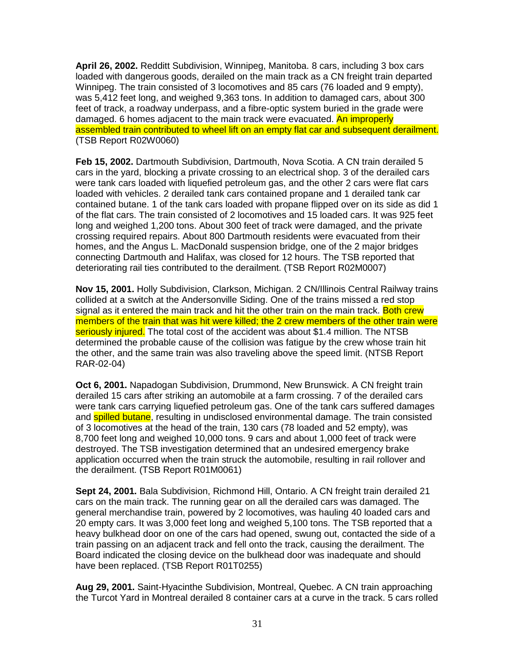**April 26, 2002.** Redditt Subdivision, Winnipeg, Manitoba. 8 cars, including 3 box cars loaded with dangerous goods, derailed on the main track as a CN freight train departed Winnipeg. The train consisted of 3 locomotives and 85 cars (76 loaded and 9 empty), was 5,412 feet long, and weighed 9,363 tons. In addition to damaged cars, about 300 feet of track, a roadway underpass, and a fibre-optic system buried in the grade were damaged. 6 homes adjacent to the main track were evacuated. An improperly assembled train contributed to wheel lift on an empty flat car and subsequent derailment. (TSB Report R02W0060)

**Feb 15, 2002.** Dartmouth Subdivision, Dartmouth, Nova Scotia. A CN train derailed 5 cars in the yard, blocking a private crossing to an electrical shop. 3 of the derailed cars were tank cars loaded with liquefied petroleum gas, and the other 2 cars were flat cars loaded with vehicles. 2 derailed tank cars contained propane and 1 derailed tank car contained butane. 1 of the tank cars loaded with propane flipped over on its side as did 1 of the flat cars. The train consisted of 2 locomotives and 15 loaded cars. It was 925 feet long and weighed 1,200 tons. About 300 feet of track were damaged, and the private crossing required repairs. About 800 Dartmouth residents were evacuated from their homes, and the Angus L. MacDonald suspension bridge, one of the 2 major bridges connecting Dartmouth and Halifax, was closed for 12 hours. The TSB reported that deteriorating rail ties contributed to the derailment. (TSB Report R02M0007)

**Nov 15, 2001.** Holly Subdivision, Clarkson, Michigan. 2 CN/Illinois Central Railway trains collided at a switch at the Andersonville Siding. One of the trains missed a red stop signal as it entered the main track and hit the other train on the main track. Both crew members of the train that was hit were killed; the 2 crew members of the other train were seriously injured. The total cost of the accident was about \$1.4 million. The NTSB determined the probable cause of the collision was fatigue by the crew whose train hit the other, and the same train was also traveling above the speed limit. (NTSB Report RAR-02-04)

**Oct 6, 2001.** Napadogan Subdivision, Drummond, New Brunswick. A CN freight train derailed 15 cars after striking an automobile at a farm crossing. 7 of the derailed cars were tank cars carrying liquefied petroleum gas. One of the tank cars suffered damages and **spilled butane**, resulting in undisclosed environmental damage. The train consisted of 3 locomotives at the head of the train, 130 cars (78 loaded and 52 empty), was 8,700 feet long and weighed 10,000 tons. 9 cars and about 1,000 feet of track were destroyed. The TSB investigation determined that an undesired emergency brake application occurred when the train struck the automobile, resulting in rail rollover and the derailment. (TSB Report R01M0061)

**Sept 24, 2001.** Bala Subdivision, Richmond Hill, Ontario. A CN freight train derailed 21 cars on the main track. The running gear on all the derailed cars was damaged. The general merchandise train, powered by 2 locomotives, was hauling 40 loaded cars and 20 empty cars. It was 3,000 feet long and weighed 5,100 tons. The TSB reported that a heavy bulkhead door on one of the cars had opened, swung out, contacted the side of a train passing on an adjacent track and fell onto the track, causing the derailment. The Board indicated the closing device on the bulkhead door was inadequate and should have been replaced. (TSB Report R01T0255)

**Aug 29, 2001.** Saint-Hyacinthe Subdivision, Montreal, Quebec. A CN train approaching the Turcot Yard in Montreal derailed 8 container cars at a curve in the track. 5 cars rolled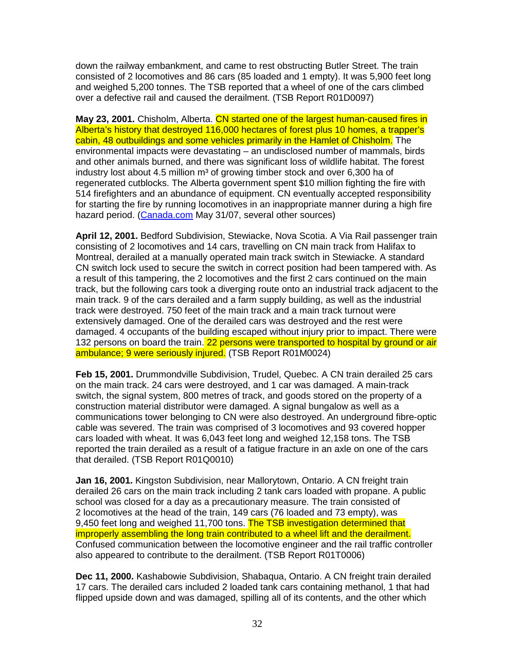down the railway embankment, and came to rest obstructing Butler Street. The train consisted of 2 locomotives and 86 cars (85 loaded and 1 empty). It was 5,900 feet long and weighed 5,200 tonnes. The TSB reported that a wheel of one of the cars climbed over a defective rail and caused the derailment. (TSB Report R01D0097)

**May 23, 2001.** Chisholm, Alberta. CN started one of the largest human-caused fires in Alberta's history that destroyed 116,000 hectares of forest plus 10 homes, a trapper's cabin, 48 outbuildings and some vehicles primarily in the Hamlet of Chisholm. The environmental impacts were devastating – an undisclosed number of mammals, birds and other animals burned, and there was significant loss of wildlife habitat. The forest industry lost about 4.5 million  $m<sup>3</sup>$  of growing timber stock and over 6,300 ha of regenerated cutblocks. The Alberta government spent \$10 million fighting the fire with 514 firefighters and an abundance of equipment. CN eventually accepted responsibility for starting the fire by running locomotives in an inappropriate manner during a high fire hazard period. (Canada.com May 31/07, several other sources)

**April 12, 2001.** Bedford Subdivision, Stewiacke, Nova Scotia. A Via Rail passenger train consisting of 2 locomotives and 14 cars, travelling on CN main track from Halifax to Montreal, derailed at a manually operated main track switch in Stewiacke. A standard CN switch lock used to secure the switch in correct position had been tampered with. As a result of this tampering, the 2 locomotives and the first 2 cars continued on the main track, but the following cars took a diverging route onto an industrial track adjacent to the main track. 9 of the cars derailed and a farm supply building, as well as the industrial track were destroyed. 750 feet of the main track and a main track turnout were extensively damaged. One of the derailed cars was destroyed and the rest were damaged. 4 occupants of the building escaped without injury prior to impact. There were 132 persons on board the train. 22 persons were transported to hospital by ground or air ambulance; 9 were seriously injured. (TSB Report R01M0024)

**Feb 15, 2001.** Drummondville Subdivision, Trudel, Quebec. A CN train derailed 25 cars on the main track. 24 cars were destroyed, and 1 car was damaged. A main-track switch, the signal system, 800 metres of track, and goods stored on the property of a construction material distributor were damaged. A signal bungalow as well as a communications tower belonging to CN were also destroyed. An underground fibre-optic cable was severed. The train was comprised of 3 locomotives and 93 covered hopper cars loaded with wheat. It was 6,043 feet long and weighed 12,158 tons. The TSB reported the train derailed as a result of a fatigue fracture in an axle on one of the cars that derailed. (TSB Report R01Q0010)

**Jan 16, 2001.** Kingston Subdivision, near Mallorytown, Ontario. A CN freight train derailed 26 cars on the main track including 2 tank cars loaded with propane. A public school was closed for a day as a precautionary measure. The train consisted of 2 locomotives at the head of the train, 149 cars (76 loaded and 73 empty), was 9,450 feet long and weighed 11,700 tons. The TSB investigation determined that improperly assembling the long train contributed to a wheel lift and the derailment. Confused communication between the locomotive engineer and the rail traffic controller also appeared to contribute to the derailment. (TSB Report R01T0006)

**Dec 11, 2000.** Kashabowie Subdivision, Shabaqua, Ontario. A CN freight train derailed 17 cars. The derailed cars included 2 loaded tank cars containing methanol, 1 that had flipped upside down and was damaged, spilling all of its contents, and the other which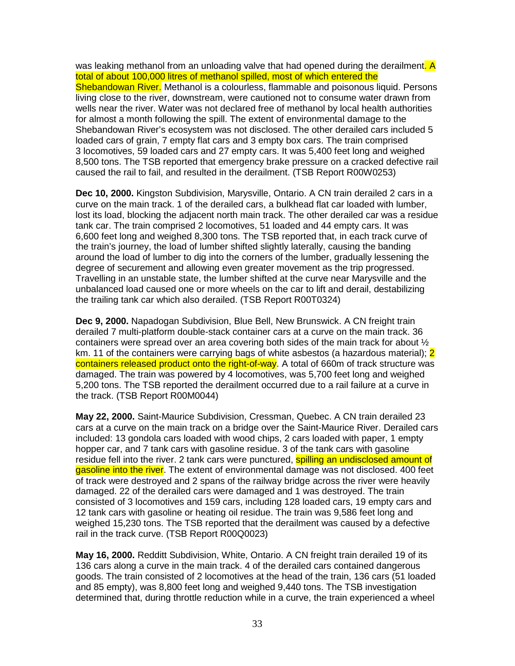was leaking methanol from an unloading valve that had opened during the derailment. A total of about 100,000 litres of methanol spilled, most of which entered the Shebandowan River. Methanol is a colourless, flammable and poisonous liquid. Persons living close to the river, downstream, were cautioned not to consume water drawn from wells near the river. Water was not declared free of methanol by local health authorities for almost a month following the spill. The extent of environmental damage to the Shebandowan River's ecosystem was not disclosed. The other derailed cars included 5 loaded cars of grain, 7 empty flat cars and 3 empty box cars. The train comprised 3 locomotives, 59 loaded cars and 27 empty cars. It was 5,400 feet long and weighed 8,500 tons. The TSB reported that emergency brake pressure on a cracked defective rail caused the rail to fail, and resulted in the derailment. (TSB Report R00W0253)

**Dec 10, 2000.** Kingston Subdivision, Marysville, Ontario. A CN train derailed 2 cars in a curve on the main track. 1 of the derailed cars, a bulkhead flat car loaded with lumber, lost its load, blocking the adjacent north main track. The other derailed car was a residue tank car. The train comprised 2 locomotives, 51 loaded and 44 empty cars. It was 6,600 feet long and weighed 8,300 tons. The TSB reported that, in each track curve of the train's journey, the load of lumber shifted slightly laterally, causing the banding around the load of lumber to dig into the corners of the lumber, gradually lessening the degree of securement and allowing even greater movement as the trip progressed. Travelling in an unstable state, the lumber shifted at the curve near Marysville and the unbalanced load caused one or more wheels on the car to lift and derail, destabilizing the trailing tank car which also derailed. (TSB Report R00T0324)

**Dec 9, 2000.** Napadogan Subdivision, Blue Bell, New Brunswick. A CN freight train derailed 7 multi-platform double-stack container cars at a curve on the main track. 36 containers were spread over an area covering both sides of the main track for about ½ km. 11 of the containers were carrying bags of white asbestos (a hazardous material): 2 containers released product onto the right-of-way. A total of 660m of track structure was damaged. The train was powered by 4 locomotives, was 5,700 feet long and weighed 5,200 tons. The TSB reported the derailment occurred due to a rail failure at a curve in the track. (TSB Report R00M0044)

**May 22, 2000.** Saint-Maurice Subdivision, Cressman, Quebec. A CN train derailed 23 cars at a curve on the main track on a bridge over the Saint-Maurice River. Derailed cars included: 13 gondola cars loaded with wood chips, 2 cars loaded with paper, 1 empty hopper car, and 7 tank cars with gasoline residue. 3 of the tank cars with gasoline residue fell into the river. 2 tank cars were punctured, **spilling an undisclosed amount of** gasoline into the river. The extent of environmental damage was not disclosed. 400 feet of track were destroyed and 2 spans of the railway bridge across the river were heavily damaged. 22 of the derailed cars were damaged and 1 was destroyed. The train consisted of 3 locomotives and 159 cars, including 128 loaded cars, 19 empty cars and 12 tank cars with gasoline or heating oil residue. The train was 9,586 feet long and weighed 15,230 tons. The TSB reported that the derailment was caused by a defective rail in the track curve. (TSB Report R00Q0023)

**May 16, 2000.** Redditt Subdivision, White, Ontario. A CN freight train derailed 19 of its 136 cars along a curve in the main track. 4 of the derailed cars contained dangerous goods. The train consisted of 2 locomotives at the head of the train, 136 cars (51 loaded and 85 empty), was 8,800 feet long and weighed 9,440 tons. The TSB investigation determined that, during throttle reduction while in a curve, the train experienced a wheel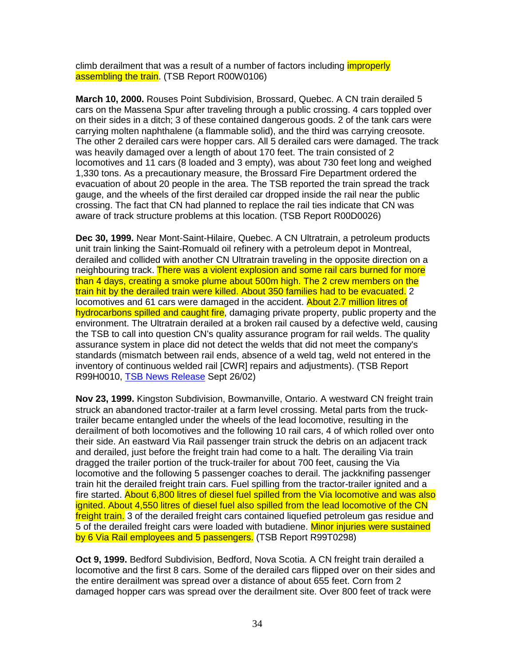climb derailment that was a result of a number of factors including *improperly* assembling the train. (TSB Report R00W0106)

**March 10, 2000.** Rouses Point Subdivision, Brossard, Quebec. A CN train derailed 5 cars on the Massena Spur after traveling through a public crossing. 4 cars toppled over on their sides in a ditch; 3 of these contained dangerous goods. 2 of the tank cars were carrying molten naphthalene (a flammable solid), and the third was carrying creosote. The other 2 derailed cars were hopper cars. All 5 derailed cars were damaged. The track was heavily damaged over a length of about 170 feet. The train consisted of 2 locomotives and 11 cars (8 loaded and 3 empty), was about 730 feet long and weighed 1,330 tons. As a precautionary measure, the Brossard Fire Department ordered the evacuation of about 20 people in the area. The TSB reported the train spread the track gauge, and the wheels of the first derailed car dropped inside the rail near the public crossing. The fact that CN had planned to replace the rail ties indicate that CN was aware of track structure problems at this location. (TSB Report R00D0026)

**Dec 30, 1999.** Near Mont-Saint-Hilaire, Quebec. A CN Ultratrain, a petroleum products unit train linking the Saint-Romuald oil refinery with a petroleum depot in Montreal, derailed and collided with another CN Ultratrain traveling in the opposite direction on a neighbouring track. There was a violent explosion and some rail cars burned for more than 4 days, creating a smoke plume about 500m high. The 2 crew members on the train hit by the derailed train were killed. About 350 families had to be evacuated. 2 locomotives and 61 cars were damaged in the accident. About 2.7 million litres of hydrocarbons spilled and caught fire, damaging private property, public property and the environment. The Ultratrain derailed at a broken rail caused by a defective weld, causing the TSB to call into question CN's quality assurance program for rail welds. The quality assurance system in place did not detect the welds that did not meet the company's standards (mismatch between rail ends, absence of a weld tag, weld not entered in the inventory of continuous welded rail [CWR] repairs and adjustments). (TSB Report R99H0010, TSB News Release Sept 26/02)

**Nov 23, 1999.** Kingston Subdivision, Bowmanville, Ontario. A westward CN freight train struck an abandoned tractor-trailer at a farm level crossing. Metal parts from the trucktrailer became entangled under the wheels of the lead locomotive, resulting in the derailment of both locomotives and the following 10 rail cars, 4 of which rolled over onto their side. An eastward Via Rail passenger train struck the debris on an adjacent track and derailed, just before the freight train had come to a halt. The derailing Via train dragged the trailer portion of the truck-trailer for about 700 feet, causing the Via locomotive and the following 5 passenger coaches to derail. The jackknifing passenger train hit the derailed freight train cars. Fuel spilling from the tractor-trailer ignited and a fire started. About 6,800 litres of diesel fuel spilled from the Via locomotive and was also ignited. About 4,550 litres of diesel fuel also spilled from the lead locomotive of the CN freight train. 3 of the derailed freight cars contained liquefied petroleum gas residue and 5 of the derailed freight cars were loaded with butadiene. Minor injuries were sustained by 6 Via Rail employees and 5 passengers. (TSB Report R99T0298)

**Oct 9, 1999.** Bedford Subdivision, Bedford, Nova Scotia. A CN freight train derailed a locomotive and the first 8 cars. Some of the derailed cars flipped over on their sides and the entire derailment was spread over a distance of about 655 feet. Corn from 2 damaged hopper cars was spread over the derailment site. Over 800 feet of track were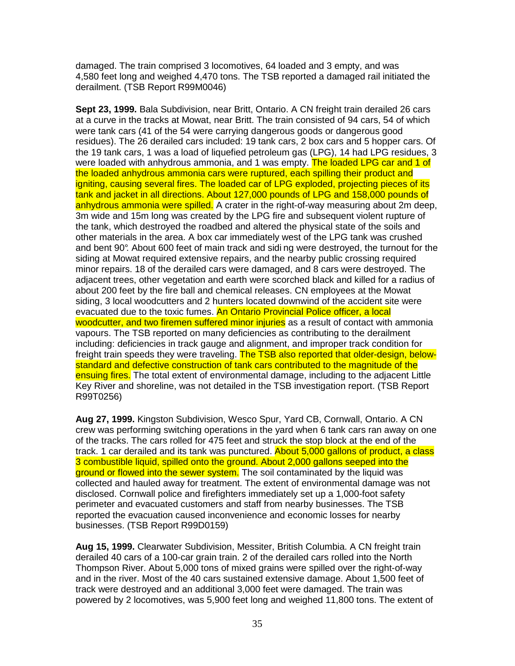damaged. The train comprised 3 locomotives, 64 loaded and 3 empty, and was 4,580 feet long and weighed 4,470 tons. The TSB reported a damaged rail initiated the derailment. (TSB Report R99M0046)

**Sept 23, 1999.** Bala Subdivision, near Britt, Ontario. A CN freight train derailed 26 cars at a curve in the tracks at Mowat, near Britt. The train consisted of 94 cars, 54 of which were tank cars (41 of the 54 were carrying dangerous goods or dangerous good residues). The 26 derailed cars included: 19 tank cars, 2 box cars and 5 hopper cars. Of the 19 tank cars, 1 was a load of liquefied petroleum gas (LPG), 14 had LPG residues, 3 were loaded with anhydrous ammonia, and 1 was empty. The loaded LPG car and 1 of the loaded anhydrous ammonia cars were ruptured, each spilling their product and igniting, causing several fires. The loaded car of LPG exploded, projecting pieces of its tank and jacket in all directions. About 127,000 pounds of LPG and 158,000 pounds of anhydrous ammonia were spilled. A crater in the right-of-way measuring about 2m deep, 3m wide and 15m long was created by the LPG fire and subsequent violent rupture of the tank, which destroyed the roadbed and altered the physical state of the soils and other materials in the area. A box car immediately west of the LPG tank was crushed and bent 90°. About 600 feet of main track and sidi ng were destroyed, the turnout for the siding at Mowat required extensive repairs, and the nearby public crossing required minor repairs. 18 of the derailed cars were damaged, and 8 cars were destroyed. The adjacent trees, other vegetation and earth were scorched black and killed for a radius of about 200 feet by the fire ball and chemical releases. CN employees at the Mowat siding, 3 local woodcutters and 2 hunters located downwind of the accident site were evacuated due to the toxic fumes. An Ontario Provincial Police officer, a local woodcutter, and two firemen suffered minor injuries as a result of contact with ammonia vapours. The TSB reported on many deficiencies as contributing to the derailment including: deficiencies in track gauge and alignment, and improper track condition for freight train speeds they were traveling. The TSB also reported that older-design, belowstandard and defective construction of tank cars contributed to the magnitude of the ensuing fires. The total extent of environmental damage, including to the adjacent Little Key River and shoreline, was not detailed in the TSB investigation report. (TSB Report R99T0256)

**Aug 27, 1999.** Kingston Subdivision, Wesco Spur, Yard CB, Cornwall, Ontario. A CN crew was performing switching operations in the yard when 6 tank cars ran away on one of the tracks. The cars rolled for 475 feet and struck the stop block at the end of the track. 1 car derailed and its tank was punctured. About 5,000 gallons of product, a class 3 combustible liquid, spilled onto the ground. About 2,000 gallons seeped into the ground or flowed into the sewer system. The soil contaminated by the liquid was collected and hauled away for treatment. The extent of environmental damage was not disclosed. Cornwall police and firefighters immediately set up a 1,000-foot safety perimeter and evacuated customers and staff from nearby businesses. The TSB reported the evacuation caused inconvenience and economic losses for nearby businesses. (TSB Report R99D0159)

**Aug 15, 1999.** Clearwater Subdivision, Messiter, British Columbia. A CN freight train derailed 40 cars of a 100-car grain train. 2 of the derailed cars rolled into the North Thompson River. About 5,000 tons of mixed grains were spilled over the right-of-way and in the river. Most of the 40 cars sustained extensive damage. About 1,500 feet of track were destroyed and an additional 3,000 feet were damaged. The train was powered by 2 locomotives, was 5,900 feet long and weighed 11,800 tons. The extent of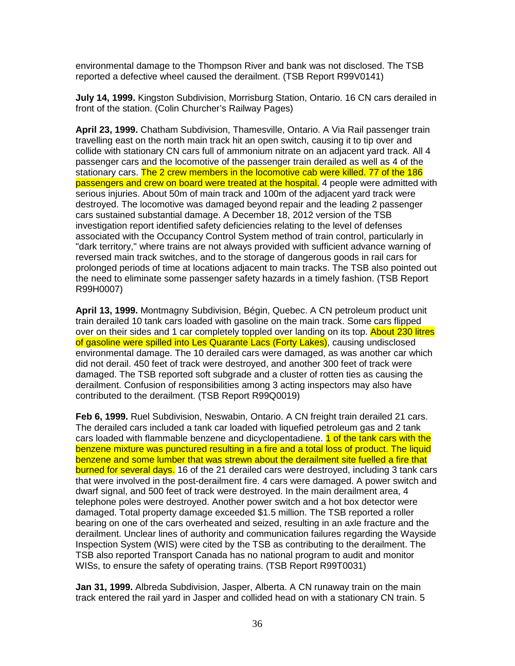environmental damage to the Thompson River and bank was not disclosed. The TSB reported a defective wheel caused the derailment. (TSB Report R99V0141)

**July 14, 1999.** Kingston Subdivision, Morrisburg Station, Ontario. 16 CN cars derailed in front of the station. (Colin Churcher's Railway Pages)

**April 23, 1999.** Chatham Subdivision, Thamesville, Ontario. A Via Rail passenger train travelling east on the north main track hit an open switch, causing it to tip over and collide with stationary CN cars full of ammonium nitrate on an adjacent yard track. All 4 passenger cars and the locomotive of the passenger train derailed as well as 4 of the stationary cars. The 2 crew members in the locomotive cab were killed. 77 of the 186 passengers and crew on board were treated at the hospital. 4 people were admitted with serious injuries. About 50m of main track and 100m of the adjacent yard track were destroyed. The locomotive was damaged beyond repair and the leading 2 passenger cars sustained substantial damage. A December 18, 2012 version of the TSB investigation report identified safety deficiencies relating to the level of defenses associated with the Occupancy Control System method of train control, particularly in "dark territory," where trains are not always provided with sufficient advance warning of reversed main track switches, and to the storage of dangerous goods in rail cars for prolonged periods of time at locations adjacent to main tracks. The TSB also pointed out the need to eliminate some passenger safety hazards in a timely fashion. (TSB Report R99H0007)

**April 13, 1999.** Montmagny Subdivision, Bégin, Quebec. A CN petroleum product unit train derailed 10 tank cars loaded with gasoline on the main track. Some cars flipped over on their sides and 1 car completely toppled over landing on its top. About 230 litres of gasoline were spilled into Les Quarante Lacs (Forty Lakes), causing undisclosed environmental damage. The 10 derailed cars were damaged, as was another car which did not derail. 450 feet of track were destroyed, and another 300 feet of track were damaged. The TSB reported soft subgrade and a cluster of rotten ties as causing the derailment. Confusion of responsibilities among 3 acting inspectors may also have contributed to the derailment. (TSB Report R99Q0019)

**Feb 6, 1999.** Ruel Subdivision, Neswabin, Ontario. A CN freight train derailed 21 cars. The derailed cars included a tank car loaded with liquefied petroleum gas and 2 tank cars loaded with flammable benzene and dicyclopentadiene. **1 of the tank cars with the** benzene mixture was punctured resulting in a fire and a total loss of product. The liquid benzene and some lumber that was strewn about the derailment site fuelled a fire that burned for several days. 16 of the 21 derailed cars were destroyed, including 3 tank cars that were involved in the post-derailment fire. 4 cars were damaged. A power switch and dwarf signal, and 500 feet of track were destroyed. In the main derailment area, 4 telephone poles were destroyed. Another power switch and a hot box detector were damaged. Total property damage exceeded \$1.5 million. The TSB reported a roller bearing on one of the cars overheated and seized, resulting in an axle fracture and the derailment. Unclear lines of authority and communication failures regarding the Wayside Inspection System (WIS) were cited by the TSB as contributing to the derailment. The TSB also reported Transport Canada has no national program to audit and monitor WISs, to ensure the safety of operating trains. (TSB Report R99T0031)

**Jan 31, 1999.** Albreda Subdivision, Jasper, Alberta. A CN runaway train on the main track entered the rail yard in Jasper and collided head on with a stationary CN train. 5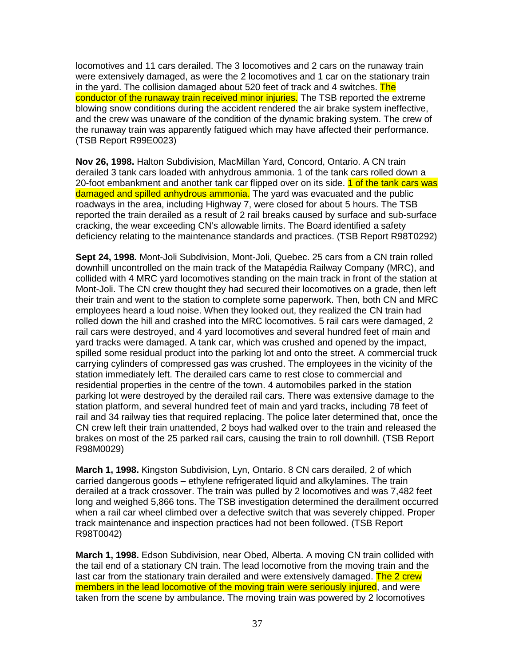locomotives and 11 cars derailed. The 3 locomotives and 2 cars on the runaway train were extensively damaged, as were the 2 locomotives and 1 car on the stationary train in the yard. The collision damaged about 520 feet of track and 4 switches. The conductor of the runaway train received minor injuries. The TSB reported the extreme blowing snow conditions during the accident rendered the air brake system ineffective, and the crew was unaware of the condition of the dynamic braking system. The crew of the runaway train was apparently fatigued which may have affected their performance. (TSB Report R99E0023)

**Nov 26, 1998.** Halton Subdivision, MacMillan Yard, Concord, Ontario. A CN train derailed 3 tank cars loaded with anhydrous ammonia. 1 of the tank cars rolled down a 20-foot embankment and another tank car flipped over on its side. 1 of the tank cars was damaged and spilled anhydrous ammonia. The yard was evacuated and the public roadways in the area, including Highway 7, were closed for about 5 hours. The TSB reported the train derailed as a result of 2 rail breaks caused by surface and sub-surface cracking, the wear exceeding CN's allowable limits. The Board identified a safety deficiency relating to the maintenance standards and practices. (TSB Report R98T0292)

**Sept 24, 1998.** Mont-Joli Subdivision, Mont-Joli, Quebec. 25 cars from a CN train rolled downhill uncontrolled on the main track of the Matapédia Railway Company (MRC), and collided with 4 MRC yard locomotives standing on the main track in front of the station at Mont-Joli. The CN crew thought they had secured their locomotives on a grade, then left their train and went to the station to complete some paperwork. Then, both CN and MRC employees heard a loud noise. When they looked out, they realized the CN train had rolled down the hill and crashed into the MRC locomotives. 5 rail cars were damaged, 2 rail cars were destroyed, and 4 yard locomotives and several hundred feet of main and yard tracks were damaged. A tank car, which was crushed and opened by the impact, spilled some residual product into the parking lot and onto the street. A commercial truck carrying cylinders of compressed gas was crushed. The employees in the vicinity of the station immediately left. The derailed cars came to rest close to commercial and residential properties in the centre of the town. 4 automobiles parked in the station parking lot were destroyed by the derailed rail cars. There was extensive damage to the station platform, and several hundred feet of main and yard tracks, including 78 feet of rail and 34 railway ties that required replacing. The police later determined that, once the CN crew left their train unattended, 2 boys had walked over to the train and released the brakes on most of the 25 parked rail cars, causing the train to roll downhill. (TSB Report R98M0029)

**March 1, 1998.** Kingston Subdivision, Lyn, Ontario. 8 CN cars derailed, 2 of which carried dangerous goods – ethylene refrigerated liquid and alkylamines. The train derailed at a track crossover. The train was pulled by 2 locomotives and was 7,482 feet long and weighed 5,866 tons. The TSB investigation determined the derailment occurred when a rail car wheel climbed over a defective switch that was severely chipped. Proper track maintenance and inspection practices had not been followed. (TSB Report R98T0042)

**March 1, 1998.** Edson Subdivision, near Obed, Alberta. A moving CN train collided with the tail end of a stationary CN train. The lead locomotive from the moving train and the last car from the stationary train derailed and were extensively damaged. The 2 crew members in the lead locomotive of the moving train were seriously injured, and were taken from the scene by ambulance. The moving train was powered by 2 locomotives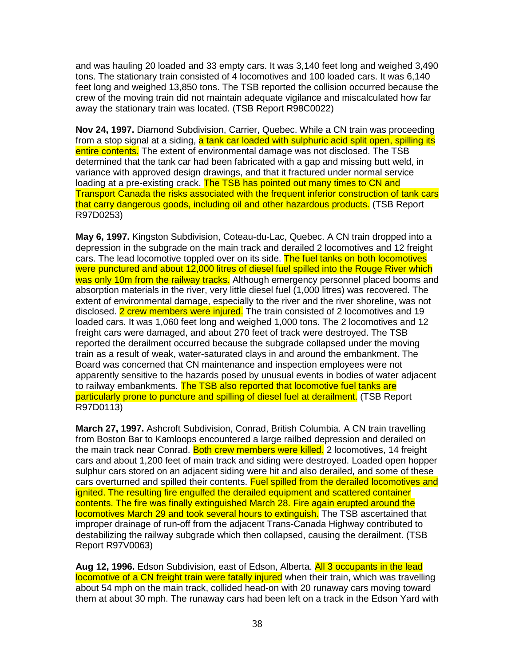and was hauling 20 loaded and 33 empty cars. It was 3,140 feet long and weighed 3,490 tons. The stationary train consisted of 4 locomotives and 100 loaded cars. It was 6,140 feet long and weighed 13,850 tons. The TSB reported the collision occurred because the crew of the moving train did not maintain adequate vigilance and miscalculated how far away the stationary train was located. (TSB Report R98C0022)

**Nov 24, 1997.** Diamond Subdivision, Carrier, Quebec. While a CN train was proceeding from a stop signal at a siding, a tank car loaded with sulphuric acid split open, spilling its entire contents. The extent of environmental damage was not disclosed. The TSB determined that the tank car had been fabricated with a gap and missing butt weld, in variance with approved design drawings, and that it fractured under normal service loading at a pre-existing crack. The TSB has pointed out many times to CN and Transport Canada the risks associated with the frequent inferior construction of tank cars that carry dangerous goods, including oil and other hazardous products. (TSB Report R97D0253)

**May 6, 1997.** Kingston Subdivision, Coteau-du-Lac, Quebec. A CN train dropped into a depression in the subgrade on the main track and derailed 2 locomotives and 12 freight cars. The lead locomotive toppled over on its side. The fuel tanks on both locomotives were punctured and about 12,000 litres of diesel fuel spilled into the Rouge River which was only 10m from the railway tracks. Although emergency personnel placed booms and absorption materials in the river, very little diesel fuel (1,000 litres) was recovered. The extent of environmental damage, especially to the river and the river shoreline, was not disclosed. 2 crew members were injured. The train consisted of 2 locomotives and 19 loaded cars. It was 1,060 feet long and weighed 1,000 tons. The 2 locomotives and 12 freight cars were damaged, and about 270 feet of track were destroyed. The TSB reported the derailment occurred because the subgrade collapsed under the moving train as a result of weak, water-saturated clays in and around the embankment. The Board was concerned that CN maintenance and inspection employees were not apparently sensitive to the hazards posed by unusual events in bodies of water adjacent to railway embankments. The TSB also reported that locomotive fuel tanks are particularly prone to puncture and spilling of diesel fuel at derailment. (TSB Report R97D0113)

**March 27, 1997.** Ashcroft Subdivision, Conrad, British Columbia. A CN train travelling from Boston Bar to Kamloops encountered a large railbed depression and derailed on the main track near Conrad. Both crew members were killed. 2 locomotives, 14 freight cars and about 1,200 feet of main track and siding were destroyed. Loaded open hopper sulphur cars stored on an adjacent siding were hit and also derailed, and some of these cars overturned and spilled their contents. Fuel spilled from the derailed locomotives and ignited. The resulting fire engulfed the derailed equipment and scattered container contents. The fire was finally extinguished March 28. Fire again erupted around the locomotives March 29 and took several hours to extinguish. The TSB ascertained that improper drainage of run-off from the adjacent Trans-Canada Highway contributed to destabilizing the railway subgrade which then collapsed, causing the derailment. (TSB Report R97V0063)

**Aug 12, 1996.** Edson Subdivision, east of Edson, Alberta. All 3 occupants in the lead locomotive of a CN freight train were fatally injured when their train, which was travelling about 54 mph on the main track, collided head-on with 20 runaway cars moving toward them at about 30 mph. The runaway cars had been left on a track in the Edson Yard with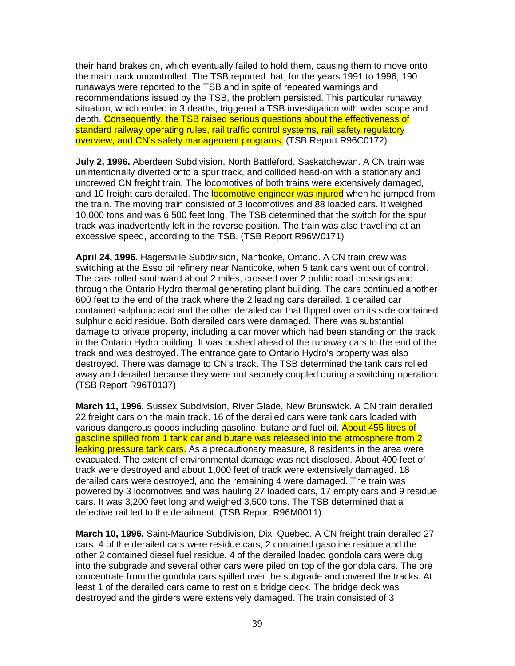their hand brakes on, which eventually failed to hold them, causing them to move onto the main track uncontrolled. The TSB reported that, for the years 1991 to 1996, 190 runaways were reported to the TSB and in spite of repeated warnings and recommendations issued by the TSB, the problem persisted. This particular runaway situation, which ended in 3 deaths, triggered a TSB investigation with wider scope and depth. Consequently, the TSB raised serious questions about the effectiveness of standard railway operating rules, rail traffic control systems, rail safety regulatory overview, and CN's safety management programs. (TSB Report R96C0172)

**July 2, 1996.** Aberdeen Subdivision, North Battleford, Saskatchewan. A CN train was unintentionally diverted onto a spur track, and collided head-on with a stationary and uncrewed CN freight train. The locomotives of both trains were extensively damaged, and 10 freight cars derailed. The **locomotive engineer was injured** when he jumped from the train. The moving train consisted of 3 locomotives and 88 loaded cars. It weighed 10,000 tons and was 6,500 feet long. The TSB determined that the switch for the spur track was inadvertently left in the reverse position. The train was also travelling at an excessive speed, according to the TSB. (TSB Report R96W0171)

**April 24, 1996.** Hagersville Subdivision, Nanticoke, Ontario. A CN train crew was switching at the Esso oil refinery near Nanticoke, when 5 tank cars went out of control. The cars rolled southward about 2 miles, crossed over 2 public road crossings and through the Ontario Hydro thermal generating plant building. The cars continued another 600 feet to the end of the track where the 2 leading cars derailed. 1 derailed car contained sulphuric acid and the other derailed car that flipped over on its side contained sulphuric acid residue. Both derailed cars were damaged. There was substantial damage to private property, including a car mover which had been standing on the track in the Ontario Hydro building. It was pushed ahead of the runaway cars to the end of the track and was destroyed. The entrance gate to Ontario Hydro's property was also destroyed. There was damage to CN's track. The TSB determined the tank cars rolled away and derailed because they were not securely coupled during a switching operation. (TSB Report R96T0137)

**March 11, 1996.** Sussex Subdivision, River Glade, New Brunswick. A CN train derailed 22 freight cars on the main track. 16 of the derailed cars were tank cars loaded with various dangerous goods including gasoline, butane and fuel oil. About 455 litres of gasoline spilled from 1 tank car and butane was released into the atmosphere from 2 leaking pressure tank cars. As a precautionary measure, 8 residents in the area were evacuated. The extent of environmental damage was not disclosed. About 400 feet of track were destroyed and about 1,000 feet of track were extensively damaged. 18 derailed cars were destroyed, and the remaining 4 were damaged. The train was powered by 3 locomotives and was hauling 27 loaded cars, 17 empty cars and 9 residue cars. It was 3,200 feet long and weighed 3,500 tons. The TSB determined that a defective rail led to the derailment. (TSB Report R96M0011)

**March 10, 1996.** Saint-Maurice Subdivision, Dix, Quebec. A CN freight train derailed 27 cars. 4 of the derailed cars were residue cars, 2 contained gasoline residue and the other 2 contained diesel fuel residue. 4 of the derailed loaded gondola cars were dug into the subgrade and several other cars were piled on top of the gondola cars. The ore concentrate from the gondola cars spilled over the subgrade and covered the tracks. At least 1 of the derailed cars came to rest on a bridge deck. The bridge deck was destroyed and the girders were extensively damaged. The train consisted of 3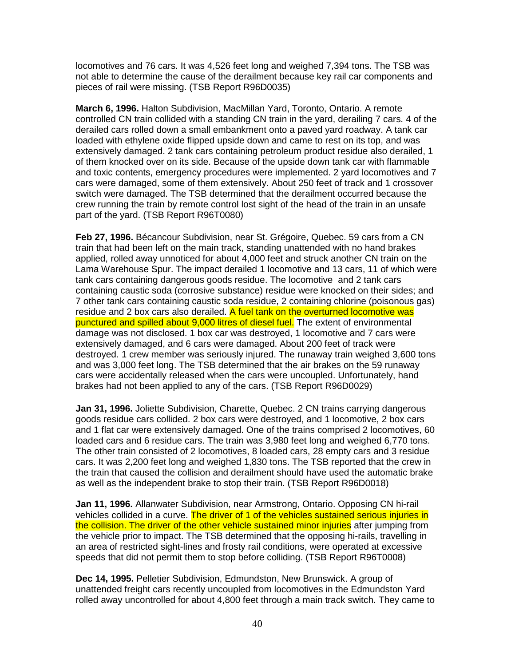locomotives and 76 cars. It was 4,526 feet long and weighed 7,394 tons. The TSB was not able to determine the cause of the derailment because key rail car components and pieces of rail were missing. (TSB Report R96D0035)

**March 6, 1996.** Halton Subdivision, MacMillan Yard, Toronto, Ontario. A remote controlled CN train collided with a standing CN train in the yard, derailing 7 cars. 4 of the derailed cars rolled down a small embankment onto a paved yard roadway. A tank car loaded with ethylene oxide flipped upside down and came to rest on its top, and was extensively damaged. 2 tank cars containing petroleum product residue also derailed, 1 of them knocked over on its side. Because of the upside down tank car with flammable and toxic contents, emergency procedures were implemented. 2 yard locomotives and 7 cars were damaged, some of them extensively. About 250 feet of track and 1 crossover switch were damaged. The TSB determined that the derailment occurred because the crew running the train by remote control lost sight of the head of the train in an unsafe part of the yard. (TSB Report R96T0080)

**Feb 27, 1996.** Bécancour Subdivision, near St. Grégoire, Quebec. 59 cars from a CN train that had been left on the main track, standing unattended with no hand brakes applied, rolled away unnoticed for about 4,000 feet and struck another CN train on the Lama Warehouse Spur. The impact derailed 1 locomotive and 13 cars, 11 of which were tank cars containing dangerous goods residue. The locomotive and 2 tank cars containing caustic soda (corrosive substance) residue were knocked on their sides; and 7 other tank cars containing caustic soda residue, 2 containing chlorine (poisonous gas) residue and 2 box cars also derailed. A fuel tank on the overturned locomotive was punctured and spilled about 9,000 litres of diesel fuel. The extent of environmental damage was not disclosed. 1 box car was destroyed, 1 locomotive and 7 cars were extensively damaged, and 6 cars were damaged. About 200 feet of track were destroyed. 1 crew member was seriously injured. The runaway train weighed 3,600 tons and was 3,000 feet long. The TSB determined that the air brakes on the 59 runaway cars were accidentally released when the cars were uncoupled. Unfortunately, hand brakes had not been applied to any of the cars. (TSB Report R96D0029)

**Jan 31, 1996.** Joliette Subdivision, Charette, Quebec. 2 CN trains carrying dangerous goods residue cars collided. 2 box cars were destroyed, and 1 locomotive, 2 box cars and 1 flat car were extensively damaged. One of the trains comprised 2 locomotives, 60 loaded cars and 6 residue cars. The train was 3,980 feet long and weighed 6,770 tons. The other train consisted of 2 locomotives, 8 loaded cars, 28 empty cars and 3 residue cars. It was 2,200 feet long and weighed 1,830 tons. The TSB reported that the crew in the train that caused the collision and derailment should have used the automatic brake as well as the independent brake to stop their train. (TSB Report R96D0018)

**Jan 11, 1996.** Allanwater Subdivision, near Armstrong, Ontario. Opposing CN hi-rail vehicles collided in a curve. The driver of 1 of the vehicles sustained serious injuries in the collision. The driver of the other vehicle sustained minor injuries after jumping from the vehicle prior to impact. The TSB determined that the opposing hi-rails, travelling in an area of restricted sight-lines and frosty rail conditions, were operated at excessive speeds that did not permit them to stop before colliding. (TSB Report R96T0008)

**Dec 14, 1995.** Pelletier Subdivision, Edmundston, New Brunswick. A group of unattended freight cars recently uncoupled from locomotives in the Edmundston Yard rolled away uncontrolled for about 4,800 feet through a main track switch. They came to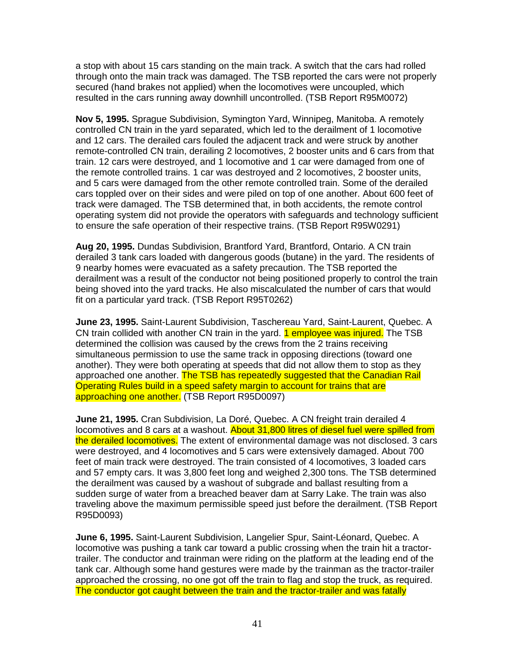a stop with about 15 cars standing on the main track. A switch that the cars had rolled through onto the main track was damaged. The TSB reported the cars were not properly secured (hand brakes not applied) when the locomotives were uncoupled, which resulted in the cars running away downhill uncontrolled. (TSB Report R95M0072)

**Nov 5, 1995.** Sprague Subdivision, Symington Yard, Winnipeg, Manitoba. A remotely controlled CN train in the yard separated, which led to the derailment of 1 locomotive and 12 cars. The derailed cars fouled the adjacent track and were struck by another remote-controlled CN train, derailing 2 locomotives, 2 booster units and 6 cars from that train. 12 cars were destroyed, and 1 locomotive and 1 car were damaged from one of the remote controlled trains. 1 car was destroyed and 2 locomotives, 2 booster units, and 5 cars were damaged from the other remote controlled train. Some of the derailed cars toppled over on their sides and were piled on top of one another. About 600 feet of track were damaged. The TSB determined that, in both accidents, the remote control operating system did not provide the operators with safeguards and technology sufficient to ensure the safe operation of their respective trains. (TSB Report R95W0291)

**Aug 20, 1995.** Dundas Subdivision, Brantford Yard, Brantford, Ontario. A CN train derailed 3 tank cars loaded with dangerous goods (butane) in the yard. The residents of 9 nearby homes were evacuated as a safety precaution. The TSB reported the derailment was a result of the conductor not being positioned properly to control the train being shoved into the yard tracks. He also miscalculated the number of cars that would fit on a particular yard track. (TSB Report R95T0262)

**June 23, 1995.** Saint-Laurent Subdivision, Taschereau Yard, Saint-Laurent, Quebec. A CN train collided with another CN train in the yard. **1 employee was injured.** The TSB determined the collision was caused by the crews from the 2 trains receiving simultaneous permission to use the same track in opposing directions (toward one another). They were both operating at speeds that did not allow them to stop as they approached one another. The TSB has repeatedly suggested that the Canadian Rail Operating Rules build in a speed safety margin to account for trains that are approaching one another. (TSB Report R95D0097)

**June 21, 1995.** Cran Subdivision, La Doré, Quebec. A CN freight train derailed 4 locomotives and 8 cars at a washout. About 31,800 litres of diesel fuel were spilled from the derailed locomotives. The extent of environmental damage was not disclosed. 3 cars were destroyed, and 4 locomotives and 5 cars were extensively damaged. About 700 feet of main track were destroyed. The train consisted of 4 locomotives, 3 loaded cars and 57 empty cars. It was 3,800 feet long and weighed 2,300 tons. The TSB determined the derailment was caused by a washout of subgrade and ballast resulting from a sudden surge of water from a breached beaver dam at Sarry Lake. The train was also traveling above the maximum permissible speed just before the derailment. (TSB Report R95D0093)

**June 6, 1995.** Saint-Laurent Subdivision, Langelier Spur, Saint-Léonard, Quebec. A locomotive was pushing a tank car toward a public crossing when the train hit a tractortrailer. The conductor and trainman were riding on the platform at the leading end of the tank car. Although some hand gestures were made by the trainman as the tractor-trailer approached the crossing, no one got off the train to flag and stop the truck, as required. The conductor got caught between the train and the tractor-trailer and was fatally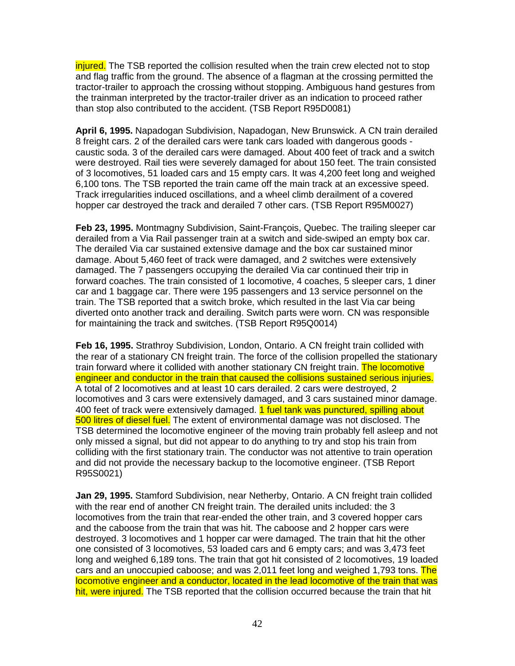injured. The TSB reported the collision resulted when the train crew elected not to stop and flag traffic from the ground. The absence of a flagman at the crossing permitted the tractor-trailer to approach the crossing without stopping. Ambiguous hand gestures from the trainman interpreted by the tractor-trailer driver as an indication to proceed rather than stop also contributed to the accident. (TSB Report R95D0081)

**April 6, 1995.** Napadogan Subdivision, Napadogan, New Brunswick. A CN train derailed 8 freight cars. 2 of the derailed cars were tank cars loaded with dangerous goods caustic soda. 3 of the derailed cars were damaged. About 400 feet of track and a switch were destroyed. Rail ties were severely damaged for about 150 feet. The train consisted of 3 locomotives, 51 loaded cars and 15 empty cars. It was 4,200 feet long and weighed 6,100 tons. The TSB reported the train came off the main track at an excessive speed. Track irregularities induced oscillations, and a wheel climb derailment of a covered hopper car destroyed the track and derailed 7 other cars. (TSB Report R95M0027)

**Feb 23, 1995.** Montmagny Subdivision, Saint-François, Quebec. The trailing sleeper car derailed from a Via Rail passenger train at a switch and side-swiped an empty box car. The derailed Via car sustained extensive damage and the box car sustained minor damage. About 5,460 feet of track were damaged, and 2 switches were extensively damaged. The 7 passengers occupying the derailed Via car continued their trip in forward coaches. The train consisted of 1 locomotive, 4 coaches, 5 sleeper cars, 1 diner car and 1 baggage car. There were 195 passengers and 13 service personnel on the train. The TSB reported that a switch broke, which resulted in the last Via car being diverted onto another track and derailing. Switch parts were worn. CN was responsible for maintaining the track and switches. (TSB Report R95Q0014)

**Feb 16, 1995.** Strathroy Subdivision, London, Ontario. A CN freight train collided with the rear of a stationary CN freight train. The force of the collision propelled the stationary train forward where it collided with another stationary CN freight train. The locomotive engineer and conductor in the train that caused the collisions sustained serious injuries. A total of 2 locomotives and at least 10 cars derailed. 2 cars were destroyed, 2 locomotives and 3 cars were extensively damaged, and 3 cars sustained minor damage. 400 feet of track were extensively damaged. 1 fuel tank was punctured, spilling about 500 litres of diesel fuel. The extent of environmental damage was not disclosed. The TSB determined the locomotive engineer of the moving train probably fell asleep and not only missed a signal, but did not appear to do anything to try and stop his train from colliding with the first stationary train. The conductor was not attentive to train operation and did not provide the necessary backup to the locomotive engineer. (TSB Report R95S0021)

**Jan 29, 1995.** Stamford Subdivision, near Netherby, Ontario. A CN freight train collided with the rear end of another CN freight train. The derailed units included: the 3 locomotives from the train that rear-ended the other train, and 3 covered hopper cars and the caboose from the train that was hit. The caboose and 2 hopper cars were destroyed. 3 locomotives and 1 hopper car were damaged. The train that hit the other one consisted of 3 locomotives, 53 loaded cars and 6 empty cars; and was 3,473 feet long and weighed 6,189 tons. The train that got hit consisted of 2 locomotives, 19 loaded cars and an unoccupied caboose; and was 2,011 feet long and weighed 1,793 tons. The locomotive engineer and a conductor, located in the lead locomotive of the train that was hit, were injured. The TSB reported that the collision occurred because the train that hit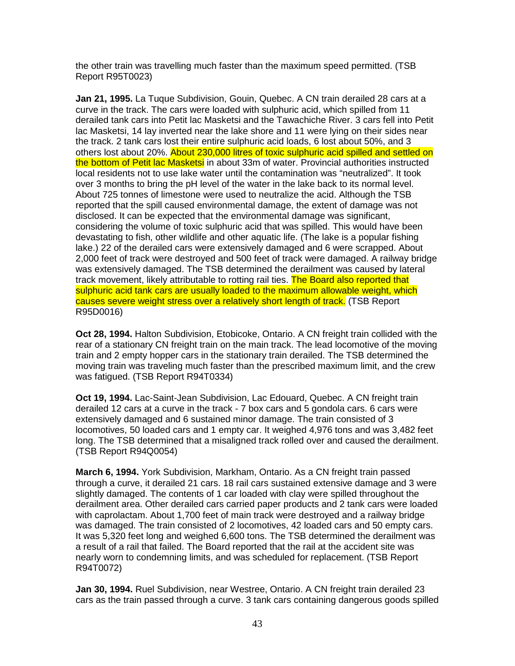the other train was travelling much faster than the maximum speed permitted. (TSB Report R95T0023)

**Jan 21, 1995.** La Tuque Subdivision, Gouin, Quebec. A CN train derailed 28 cars at a curve in the track. The cars were loaded with sulphuric acid, which spilled from 11 derailed tank cars into Petit lac Masketsi and the Tawachiche River. 3 cars fell into Petit lac Masketsi, 14 lay inverted near the lake shore and 11 were lying on their sides near the track. 2 tank cars lost their entire sulphuric acid loads, 6 lost about 50%, and 3 others lost about 20%. About 230,000 litres of toxic sulphuric acid spilled and settled on the bottom of Petit lac Masketsi in about 33m of water. Provincial authorities instructed local residents not to use lake water until the contamination was "neutralized". It took over 3 months to bring the pH level of the water in the lake back to its normal level. About 725 tonnes of limestone were used to neutralize the acid. Although the TSB reported that the spill caused environmental damage, the extent of damage was not disclosed. It can be expected that the environmental damage was significant, considering the volume of toxic sulphuric acid that was spilled. This would have been devastating to fish, other wildlife and other aquatic life. (The lake is a popular fishing lake.) 22 of the derailed cars were extensively damaged and 6 were scrapped. About 2,000 feet of track were destroyed and 500 feet of track were damaged. A railway bridge was extensively damaged. The TSB determined the derailment was caused by lateral track movement, likely attributable to rotting rail ties. The Board also reported that sulphuric acid tank cars are usually loaded to the maximum allowable weight, which causes severe weight stress over a relatively short length of track. (TSB Report R95D0016)

**Oct 28, 1994.** Halton Subdivision, Etobicoke, Ontario. A CN freight train collided with the rear of a stationary CN freight train on the main track. The lead locomotive of the moving train and 2 empty hopper cars in the stationary train derailed. The TSB determined the moving train was traveling much faster than the prescribed maximum limit, and the crew was fatigued. (TSB Report R94T0334)

**Oct 19, 1994.** Lac-Saint-Jean Subdivision, Lac Edouard, Quebec. A CN freight train derailed 12 cars at a curve in the track - 7 box cars and 5 gondola cars. 6 cars were extensively damaged and 6 sustained minor damage. The train consisted of 3 locomotives, 50 loaded cars and 1 empty car. It weighed 4,976 tons and was 3,482 feet long. The TSB determined that a misaligned track rolled over and caused the derailment. (TSB Report R94Q0054)

**March 6, 1994.** York Subdivision, Markham, Ontario. As a CN freight train passed through a curve, it derailed 21 cars. 18 rail cars sustained extensive damage and 3 were slightly damaged. The contents of 1 car loaded with clay were spilled throughout the derailment area. Other derailed cars carried paper products and 2 tank cars were loaded with caprolactam. About 1,700 feet of main track were destroyed and a railway bridge was damaged. The train consisted of 2 locomotives, 42 loaded cars and 50 empty cars. It was 5,320 feet long and weighed 6,600 tons. The TSB determined the derailment was a result of a rail that failed. The Board reported that the rail at the accident site was nearly worn to condemning limits, and was scheduled for replacement. (TSB Report R94T0072)

**Jan 30, 1994.** Ruel Subdivision, near Westree, Ontario. A CN freight train derailed 23 cars as the train passed through a curve. 3 tank cars containing dangerous goods spilled